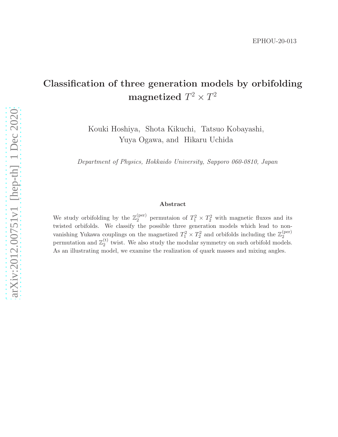# Classification of three generation models by orbifolding magnetized  $T^2 \times T^2$

Kouki Hoshiya, Shota Kikuchi, Tatsuo Kobayashi, Yuya Ogawa, and Hikaru Uchida

Department of Physics, Hokkaido University, Sapporo 060-0810, Japan

#### Abstract

We study orbifolding by the  $\mathbb{Z}_2^{(\text{per})}$  $2^{(per)}$  permutaion of  $T_1^2 \times T_2^2$  with magnetic fluxes and its twisted orbifolds. We classify the possible three generation models which lead to nonvanishing Yukawa couplings on the magnetized  $T_1^2 \times T_2^2$  and orbifolds including the  $\mathbb{Z}_2^{(\text{per})}$ 2 permutation and  $\mathbb{Z}_2^{(t)}$  $\frac{1}{2}$  twist. We also study the modular symmetry on such orbifold models. As an illustrating model, we examine the realization of quark masses and mixing angles.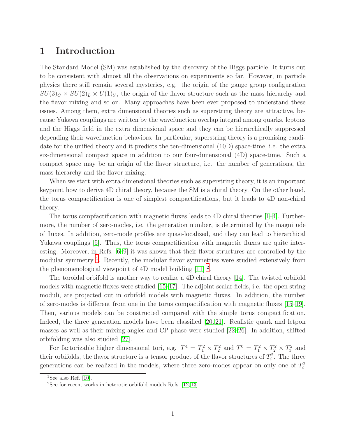### 1 Introduction

The Standard Model (SM) was established by the discovery of the Higgs particle. It turns out to be consistent with almost all the observations on experiments so far. However, in particle physics there still remain several mysteries, e.g. the origin of the gauge group configuration  $SU(3)_C \times SU(2)_L \times U(1)_Y$ , the origin of the flavor structure such as the mass hierarchy and the flavor mixing and so on. Many approaches have been ever proposed to understand these issues. Among them, extra dimensional theories such as superstring theory are attractive, because Yukawa couplings are written by the wavefunction overlap integral among quarks, leptons and the Higgs field in the extra dimensional space and they can be hierarchically suppressed depending their wavefunction behaviors. In particular, superstring theory is a promising candidate for the unified theory and it predicts the ten-dimensional (10D) space-time, i.e. the extra six-dimensional compact space in addition to our four-dimensional (4D) space-time. Such a compact space may be an origin of the flavor structure, i.e. the number of generations, the mass hierarchy and the flavor mixing.

When we start with extra dimensional theories such as superstring theory, it is an important keypoint how to derive 4D chiral theory, because the SM is a chiral theory. On the other hand, the torus compactification is one of simplest compactifications, but it leads to 4D non-chiral theory.

The torus compfactification with magnetic fluxes leads to 4D chiral theories [\[1](#page-27-0)[–4\]](#page-27-1). Furthermore, the number of zero-modes, i.e. the generation number, is determined by the magnitude of fluxes. In addition, zero-mode profiles are quasi-localized, and they can lead to hierarchical Yukawa couplings [\[5\]](#page-27-2). Thus, the torus compactification with magnetic fluxes are quite interesting. Moreover, in Refs. [\[6–](#page-27-3)[9\]](#page-28-0) it was shown that their flavor structures are controlled by the modular symmetry <sup>[1](#page-1-0)</sup>. Recently, the modular flavor symmetries were studied extensively from the phenomenological viewpoint of 4D model building  $[11]$ <sup>[2](#page-1-1)</sup>.

The toroidal orbifold is another way to realize a 4D chiral theory [\[14\]](#page-28-2). The twisted orbifold models with magnetic fluxes were studied [\[15](#page-28-3)[–17\]](#page-28-4). The adjoint scalar fields, i.e. the open string moduli, are projected out in orbifold models with magnetic fluxes. In addition, the number of zero-modes is different from one in the torus compactification with magnetic fluxes [\[15–](#page-28-3)[19\]](#page-29-0). Then, various models can be constructed compared with the simple torus compactification. Indeed, the three generation models have been classified [\[20,](#page-29-1) [21\]](#page-29-2). Realistic quark and letpon masses as well as their mixing angles and CP phase were studied [\[22–](#page-29-3)[26\]](#page-29-4). In addition, shifted orbifolding was also studied [\[27\]](#page-29-5).

For factorizable higher dimensional tori, e.g.  $T^4 = T_1^2 \times T_2^2$  and  $T^6 = T_1^2 \times T_2^2 \times T_3^2$  and their orbifolds, the flavor structure is a tensor product of the flavor structures of  $T_i^2$ . The three generations can be realized in the models, where three zero-modes appear on only one of  $T_i^2$ 

<sup>&</sup>lt;sup>1</sup>See also Ref. [\[10\]](#page-28-5).

<span id="page-1-1"></span><span id="page-1-0"></span><sup>&</sup>lt;sup>2</sup>See for recent works in heterotic orbifold models Refs.  $[12, 13]$  $[12, 13]$ .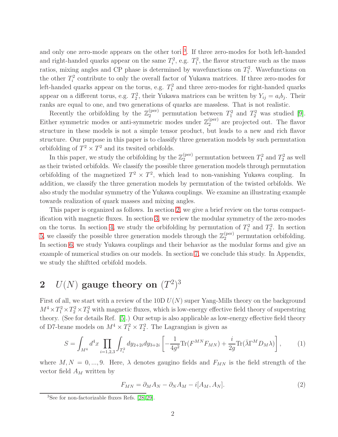and only one zero-mode appears on the other tori<sup>[3](#page-2-0)</sup>. If three zero-modes for both left-handed and right-handed quarks appear on the same  $T_i^2$ , e.g.  $T_1^2$ , the flavor structure such as the mass ratios, mixing angles and CP phase is determined by wavefunctions on  $T_1^2$ . Wavefunctions on the other  $T_i^2$  contribute to only the overall factor of Yukawa matrices. If three zero-modes for left-handed quarks appear on the torus, e.g.  $T_1^2$  and three zero-modes for right-handed quarks appear on a different torus, e.g.  $T_2^2$ , their Yukawa matrices can be written by  $Y_{ij} = a_i b_j$ . Their ranks are equal to one, and two generations of quarks are massless. That is not realistic.

Recently the orbifolding by the  $\mathbb{Z}_2^{(\text{per})}$  permutation between  $T_1^2$  and  $T_2^2$  was studied [\[9\]](#page-28-0). Either symmetric modes or anti-symmetric modes under  $\mathbb{Z}_2^{(\text{per})}$  $_2^{\text{(per)}}$  are projected out. The flavor structure in these models is not a simple tensor product, but leads to a new and rich flavor structure. Our purpose in this paper is to classify three generation models by such permutation orbifolding of  $T^2 \times T^2$  and its twited orbifolds.

In this paper, we study the orbifolding by the  $\mathbb{Z}_2^{(\text{per})}$  permutation between  $T_1^2$  and  $T_2^2$  as well as their twisted orbifolds. We classify the possible three generation models through permutation orbifolding of the magnetized  $T^2 \times T^2$ , which lead to non-vanishing Yukawa coupling. In addition, we classify the three generation models by permutation of the twisted orbifolds. We also study the modular symmetry of the Yukawa couplings. We examine an illustrating example towards realization of quark masses and mixing angles.

This paper is organized as follows. In section [2,](#page-2-1) we give a brief review on the torus compactification with magnetic fluxes. In section [3,](#page-6-0) we review the modular symmetry of the zero-modes on the torus. In section [4,](#page-9-0) we study the orbifolding by permutation of  $T_1^2$  and  $T_2^2$ . In section [5,](#page-13-0) we classify the possible three generation models through the  $\mathbb{Z}_2^{(\text{per})}$  permutation orbifolding. In section [6,](#page-19-0) we study Yukawa couplings and their behavior as the modular forms and give an example of numerical studies on our models. In section [7,](#page-25-0) we conclude this study. In Appendix, we study the shiftted orbifold models.

# <span id="page-2-1"></span> $2$   $U(N)$  gauge theory on  $(T^2)^3$

First of all, we start with a review of the 10D  $U(N)$  super Yang-Mills theory on the background  $M^4 \times T_1^2 \times T_2^2 \times T_3^2$  with magnetic fluxes, which is low-energy effective field theory of superstring theory. (See for details Ref. [\[5\]](#page-27-2).) Our setup is also applicable as low-energy effective field theory of D7-brane models on  $M^4 \times T_1^2 \times T_2^2$ . The Lagrangian is given as

$$
S = \int_{M^4} d^4x \prod_{i=1,2,3} \int_{T_i^2} dy_{2+2i} dy_{3+2i} \left[ -\frac{1}{4g^2} \text{Tr}(F^{MN} F_{MN}) + \frac{i}{2g} \text{Tr}(\bar{\lambda} \Gamma^M D_M \lambda) \right],\tag{1}
$$

where  $M, N = 0, ..., 9$ . Here,  $\lambda$  denotes gaugino fields and  $F_{MN}$  is the field strength of the vector field  $A_M$  written by

$$
F_{MN} = \partial_M A_N - \partial_N A_M - i[A_M, A_N]. \tag{2}
$$

<span id="page-2-0"></span><sup>&</sup>lt;sup>3</sup>See for non-factorizable fluxes Refs.  $[28, 29]$  $[28, 29]$ .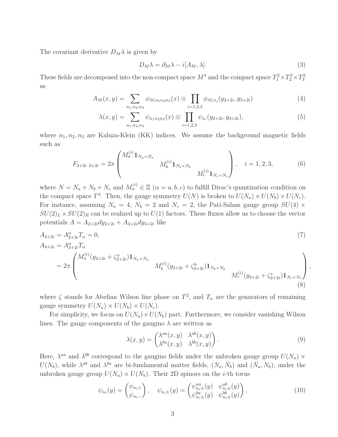The covariant derivative  $D_M \lambda$  is given by

$$
D_M \lambda = \partial_M \lambda - i[A_M, \lambda]. \tag{3}
$$

These fields are decomposed into the non-compact space  $M^4$  and the compact space  $T_1^2 \times T_2^2 \times T_3^2$ as

$$
A_M(x,y) = \sum_{n_1,n_2,n_3} \phi_{M,n_1n_2n_3}(x) \otimes \prod_{i=1,2,3} \phi_{M,n_i}(y_{2+2i}, y_{3+2i})
$$
(4)

$$
\lambda(x,y) = \sum_{n_1,n_2,n_3} \psi_{n_1n_2n_3}(x) \otimes \prod_{i=1,2,3} \psi_{n_i}(y_{2+2i}, y_{3+2i}), \tag{5}
$$

where  $n_1, n_2, n_3$  are Kaluza-Klein (KK) indices. We assume the background magnetic fields such as

$$
F_{2+2i \ 3+2i} = 2\pi \begin{pmatrix} M_a^{(i)} \mathbf{1}_{N_a \times N_a} & & \\ & M_b^{(i)} \mathbf{1}_{N_b \times N_b} & \\ & & M_c^{(i)} \mathbf{1}_{N_c \times N_c} \end{pmatrix}, \quad i = 1, 2, 3, \tag{6}
$$

where  $N = N_a + N_b + N_c$  and  $M_\alpha^{(i)} \in \mathbb{Z}$   $(\alpha = a, b, c)$  to fulfill Dirac's quantization condition on the compact space  $T^2$ . Then, the gauge symmetry  $U(N)$  is broken to  $U(N_a) \times U(N_b) \times U(N_c)$ . For instance, assuming  $N_a = 4$ ,  $N_b = 2$  and  $N_c = 2$ , the Pati-Salam gauge group  $SU(4)$  ×  $SU(2)_L \times SU(2)_R$  can be realized up to  $U(1)$  factors. These fluxes allow us to choose the vector potentials  $A = A_{2+2i} dy_{2+2i} + A_{3+2i} dy_{3+2i}$  like

$$
A_{2+2i} = A_{2+2i}^{\alpha} T_{\alpha} = 0,
$$
\n
$$
A_{3+2i} = A_{3+2i}^{\alpha} T_{\alpha}
$$
\n
$$
= 2\pi \begin{pmatrix} M_a^{(i)}(y_{2+2i} + \zeta_{2+2i}^a) \mathbf{1}_{N_a \times N_a} & M_b^{(i)}(y_{2+2i} + \zeta_{2+2i}^b) \mathbf{1}_{N_b \times N_b} & M_c^{(i)}(y_{2+2i} + \zeta_{2+2i}^c) \mathbf{1}_{N_c \times N_c} \end{pmatrix},
$$
\n
$$
(8)
$$

where  $\zeta$  stands for Abelian Wilson line phase on  $T^2$ , and  $T_{\alpha}$  are the genarators of remaining gauge symmetry  $U(N_a) \times U(N_b) \times U(N_c)$ .

For simplicity, we focus on  $U(N_a) \times U(N_b)$  part. Furthermore, we consider vanishing Wilson lines. The gauge components of the gaugino  $\lambda$  are written as

$$
\lambda(x,y) = \begin{pmatrix} \lambda^{aa}(x,y) & \lambda^{ab}(x,y) \\ \lambda^{ba}(x,y) & \lambda^{bb}(x,y) \end{pmatrix}.
$$
 (9)

Here,  $\lambda^{aa}$  and  $\lambda^{bb}$  correspond to the gaugino fields under the unbroken gauge group  $U(N_a) \times$  $U(N_b)$ , while  $\lambda^{ab}$  and  $\lambda^{ba}$  are bi-fundamental matter fields,  $(N_a, \bar{N}_b)$  and  $(\bar{N}_a, N_b)$ , under the unbroken gauge group  $U(N_a) \times U(N_b)$ . Their 2D spinors on the *i*-th torus

$$
\psi_{n_i}(y) = \begin{pmatrix} \psi_{n_i+} \\ \psi_{n_i-} \end{pmatrix}, \quad \psi_{n_i \pm}(y) = \begin{pmatrix} \psi_{n_i \pm}^{aa}(y) & \psi_{n_i \pm}^{ab}(y) \\ \psi_{n_i \pm}^{ba}(y) & \psi_{n_i \pm}^{bb}(y) \end{pmatrix},
$$
\n(10)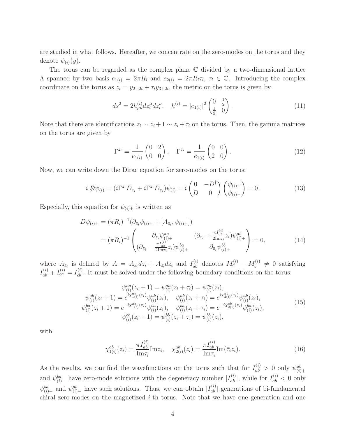are studied in what follows. Hereafter, we concentrate on the zero-modes on the torus and they denote  $\psi_{(i)}(y)$ .

The torus can be regarded as the complex plane C divided by a two-dimensional lattice  $\Lambda$  spanned by two basis  $e_{1(i)} = 2\pi R_i$  and  $e_{2(i)} = 2\pi R_i \tau_i$ ,  $\tau_i \in \mathbb{C}$ . Introducing the complex coordinate on the torus as  $z_i = y_{2+2i} + \tau_i y_{3+2i}$ , the metric on the torus is given by

$$
ds^{2} = 2h_{\mu\nu}^{(i)}dz_{i}^{\mu}d\bar{z}_{i}^{\nu}, \quad h^{(i)} = |e_{1(i)}|^{2} \begin{pmatrix} 0 & \frac{1}{2} \\ \frac{1}{2} & 0 \end{pmatrix}.
$$
 (11)

Note that there are identifications  $z_i \sim z_i + 1 \sim z_i + \tau_i$  on the torus. Then, the gamma matrices on the torus are given by

$$
\Gamma^{z_i} = \frac{1}{e_{1(i)}} \begin{pmatrix} 0 & 2 \\ 0 & 0 \end{pmatrix}, \quad \Gamma^{\bar{z}_i} = \frac{1}{\bar{e}_{1(i)}} \begin{pmatrix} 0 & 0 \\ 2 & 0 \end{pmatrix}.
$$
 (12)

Now, we can write down the Dirac equation for zero-modes on the torus:

$$
i\,\mathcal{D}\psi_{(i)} = (i\Gamma^{z_i}D_{z_i} + i\Gamma^{\bar{z}_i}D_{\bar{z}_i})\psi_{(i)} = i\begin{pmatrix} 0 & -D^{\dagger} \\ D & 0 \end{pmatrix} \begin{pmatrix} \psi_{(i)+} \\ \psi_{(i)-} \end{pmatrix} = 0.
$$
 (13)

Especially, this equation for  $\psi_{(i)+}$  is written as

$$
D\psi_{(i)+} = (\pi R_i)^{-1} (\partial_{\bar{z}_i} \psi_{(i)+} + [A_{\bar{z}_i}, \psi_{(i)+}])
$$
  
= 
$$
(\pi R_i)^{-1} \begin{pmatrix} \partial_{\bar{z}_i} \psi_{(i)+}^{aa} & (\partial_{\bar{z}_i} + \frac{\pi I_{ab}^{(i)}}{2 \text{Im} \tau_i} z_i) \psi_{(i)+}^{ab} \\ (\partial_{\bar{z}_i} - \frac{\pi I_{ab}^{(i)}}{2 \text{Im} \tau_i} z_i) \psi_{(i)+}^{ba} & \partial_{\bar{z}_i} \psi_{(i)+}^{bb} \end{pmatrix} = 0,
$$
 (14)

where  $A_{\bar{z}_i}$  is defined by  $A = A_{z_i} dz_i + A_{\bar{z}_i} d\bar{z}_i$  and  $I_{ab}^{(i)}$  denotes  $M_a^{(i)} - M_b^{(i)}$  $b_i^{(i)} \neq 0$  satisfying  $I_{ab}^{(i)} + I_{ca}^{(i)} = I_{cb}^{(i)}$ . It must be solved under the following boundary conditions on the torus:

$$
\psi_{(i)}^{aa}(z_i + 1) = \psi_{(i)}^{aa}(z_i + \tau_i) = \psi_{(i)}^{aa}(z_i),
$$
  
\n
$$
\psi_{(i)}^{ab}(z_i + 1) = e^{i\chi_{1(i)}^{ab}(z_i)}\psi_{(i)}^{ab}(z_i), \quad \psi_{(i)}^{ab}(z_i + \tau_i) = e^{i\chi_{2(i)}^{ab}(z_i)}\psi_{(i)}^{ab}(z_i),
$$
  
\n
$$
\psi_{(i)}^{ba}(z_i + 1) = e^{-i\chi_{1(i)}^{ab}(z_i)}\psi_{(i)}^{ba}(z_i), \quad \psi_{(i)}^{ba}(z_i + \tau_i) = e^{-i\chi_{2(i)}^{ab}(z_i)}\psi_{(i)}^{ba}(z_i),
$$
  
\n
$$
\psi_{(i)}^{bb}(z_i + 1) = \psi_{(i)}^{bb}(z_i + \tau_i) = \psi_{(i)}^{bb}(z_i),
$$
\n(15)

with

<span id="page-4-0"></span>
$$
\chi_{1(i)}^{ab}(z_i) = \frac{\pi I_{ab}^{(i)}}{\text{Im}\tau_i} \text{Im}z_i, \quad \chi_{2(i)}^{ab}(z_i) = \frac{\pi I_{ab}^{(i)}}{\text{Im}\tau_i} \text{Im}(\bar{\tau}_i z_i). \tag{16}
$$

As the results, we can find the wavefunctions on the torus such that for  $I_{ab}^{(i)} > 0$  only  $\psi_{(i)+}^{ab}$ and  $\psi_{(i)-}^{ba}$  have zero-mode solutions with the degeneracy number  $|I_{ab}^{(i)}|$ , while for  $I_{ab}^{(i)} < 0$  only  $\psi_{(i)}^{ba}$  and  $\psi_{(i)}^{ab}$  have such solutions. Thus, we can obtain  $|I_{ab}^{(i)}|$  generations of bi-fundamental chiral zero-modes on the magnetized i-th torus. Note that we have one generation and one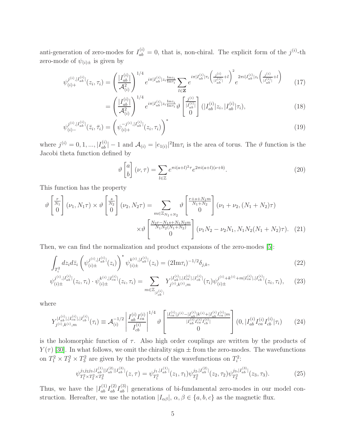anti-generation of zero-modes for  $I_{ab}^{(i)} = 0$ , that is, non-chiral. The explicit form of the  $j^{(i)}$ -th zero-mode of  $\psi_{(i)\pm}$  is given by

$$
\psi_{(i)+}^{j^{(i)},|I_{ab}^{(i)}|}(z_i,\tau_i) = \left(\frac{|I_{ab}^{(i)}|}{\mathcal{A}_{(i)}^2}\right)^{1/4} e^{i\pi |I_{ab}^{(i)}|z_i \frac{\text{Im}z_i}{\text{Im}\tau_i}} \sum_{l \in \mathbf{Z}} e^{i\pi |I_{ab}^{(i)}|\tau_i \left(\frac{j^{(i)}}{|I_{ab}^{(i)}|}+l\right)^2} e^{2\pi i |I_{ab}^{(i)}|z_i \left(\frac{j^{(i)}}{|I_{ab}^{(i)}|}+l\right)}
$$
(17)

$$
= \left(\frac{|I_{ab}^{(i)}|}{\mathcal{A}_{(i)}^2}\right)^{1/4} e^{i\pi |I_{ab}^{(i)}|z_i \frac{\text{Im} z_i}{\text{Im} \tau_i}} \vartheta \begin{bmatrix} \frac{j^{(i)}}{|I_{ab}^{(i)}|} \\ 0 \end{bmatrix} (|I_{ab}^{(i)}|z_i, |I_{ab}^{(i)}|\tau_i), \tag{18}
$$

$$
\psi_{(i)-}^{j^{(i)},|I_{ab}^{(i)}|}(\bar{z}_i,\bar{\tau}_i) = \left(\psi_{(i)+}^{-j^{(i)},|I_{ab}^{(i)}|}(z_i,\tau_i)\right)^* \tag{19}
$$

where  $j^{(i)} = 0, 1, ..., |I_{ab}^{(i)}| - 1$  and  $\mathcal{A}_{(i)} = |e_{1(i)}|^2 \text{Im} \tau_i$  is the area of torus. The  $\vartheta$  function is the Jacobi theta function defined by

<span id="page-5-2"></span><span id="page-5-1"></span><span id="page-5-0"></span>
$$
\vartheta \begin{bmatrix} a \\ b \end{bmatrix} (\nu, \tau) = \sum_{l \in \mathbb{Z}} e^{\pi i (a+l)^2 \tau} e^{2\pi i (a+l)(\nu + b)}.
$$
\n(20)

This function has the property

$$
\vartheta \begin{bmatrix} \frac{r}{N_1} \\ 0 \end{bmatrix} (\nu_1, N_1 \tau) \times \vartheta \begin{bmatrix} \frac{s}{N_2} \\ 0 \end{bmatrix} (\nu_2, N_2 \tau) = \sum_{m \in \mathbb{Z}_{N_1 + N_2}} \vartheta \begin{bmatrix} \frac{r + s + N_1 m}{N_1 + N_2} \\ 0 \end{bmatrix} (\nu_1 + \nu_2, (N_1 + N_2) \tau) \times \vartheta \begin{bmatrix} \frac{N_2 r - N_1 s + N_1 N_2 m}{N_1 N_2 (N_1 + N_2)} \\ 0 \end{bmatrix} (\nu_1 N_2 - \nu_2 N_1, N_1 N_2 (N_1 + N_2) \tau). (21)
$$

Then, we can find the normalization and product expansions of the zero-modes [\[5\]](#page-27-2):

$$
\int_{T_i^2} dz_i d\bar{z}_i \left( \psi_{(i)\pm}^{j^{(i)},|I_{ab}^{(i)}|}(z_i) \right)^* \psi_{(i)\pm}^{k^{(i)},|I_{ab}^{(i)}|}(z_i) = (2\text{Im}\tau_i)^{-1/2} \delta_{j,k},\tag{22}
$$

$$
\psi_{(i)\pm}^{j^{(i)},|I_{ab}^{(i)}|}(z_i,\tau_i)\cdot\psi_{(i)\pm}^{k^{(i)},|I_{ca}^{(i)}|}(z_i,\tau_i) = \sum_{m\in\mathbb{Z}_{|I_{cb}^{(i)}|}} Y_{j^{(i)},k^{(i)},m}^{|I_{ab}^{(i)}|,|I_{cb}^{(i)}|}(\tau_i)\psi_{(i)\pm}^{j^{(i)}+k^{(i)}+m|I_{ca}^{(i)}|,|I_{cb}^{(i)}|}(z_i,\tau_i),\tag{23}
$$

where

$$
Y_{j^{(i)},k^{(i)},m}^{|I_{cb}^{(i)}|,|I_{cb}^{(i)}|}(\tau_i) \equiv \mathcal{A}_{(i)}^{-1/2} \left| \frac{I_{ab}^{(i)} I_{ca}^{(i)}}{I_{cb}^{(i)}} \right|^{1/4} \vartheta \left[ \frac{\frac{|I_{ca}^{(i)}|j^{(i)} - |I_{ab}^{(i)}|k^{(i)} + |I_{ab}^{(i)}l_{ca}^{(i)}|m}{|I_{ab}^{(i)} I_{ca}^{(i)} |I_{cb}^{(i)}|} \right] (0, |I_{ab}^{(i)} I_{ca}^{(i)} | \tau_i) \tag{24}
$$

is the holomorphic function of  $\tau$ . Also high order couplings are written by the products of  $Y(\tau)$  [\[30\]](#page-29-8). In what follows, we omit the chirality sign  $\pm$  from the zero-modes. The wavefunctions on  $T_1^2 \times T_2^2 \times T_3^2$  are given by the products of the wavefunctions on  $T_i^2$ :

<span id="page-5-3"></span>
$$
\psi_{T_1^2 \times T_2^2 \times T_3^2}^{j_1 j_2 j_3, |I_{ab}^{(1)}| |I_{ab}^{(2)}| |I_{ab}^{(3)}|}(z,\tau) = \psi_{T_1^2}^{j_1, |I_{ab}^{(1)}|}(z_1,\tau_1)\psi_{T_2^2}^{j_2, |I_{ab}^{(2)}|}(z_2,\tau_2)\psi_{T_3^2}^{j_3, |I_{ab}^{(3)}|}(z_3,\tau_3). \tag{25}
$$

Thus, we have the  $|I_{ab}^{(1)}I_{ab}^{(2)}I_{ab}^{(3)}|$  generations of bi-fundamental zero-modes in our model construction. Hereafter, we use the notation  $|I_{\alpha\beta}|, \alpha, \beta \in \{a, b, c\}$  as the magnetic flux.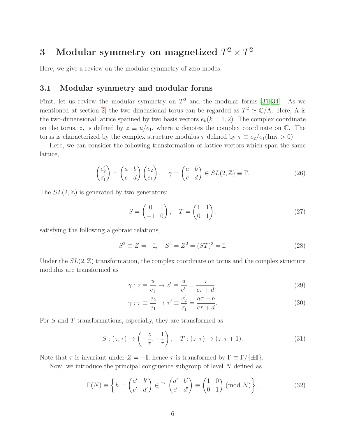# <span id="page-6-0"></span>3 Modular symmetry on magnetized  $T^2 \times T^2$

Here, we give a review on the modular symmetry of zero-modes.

### 3.1 Modular symmetry and modular forms

First, let us review the modular symmetry on  $T^2$  and the modular forms [\[31–](#page-29-9)[34\]](#page-29-10). As we mentioned at section [2,](#page-2-1) the two-dimensional torus can be regarded as  $T^2 \simeq \mathbb{C}/\Lambda$ . Here,  $\Lambda$  is the two-dimensional lattice spanned by two basis vectors  $e_k(k = 1, 2)$ . The complex coordinate on the torus, z, is defined by  $z \equiv u/e_1$ , where u denotes the complex coordinate on  $\mathbb{C}$ . The torus is characterized by the complex structure modulus  $\tau$  defined by  $\tau \equiv e_2/e_1(\text{Im}\tau > 0)$ .

Here, we can consider the following transformation of lattice vectors which span the same lattice,

$$
\begin{pmatrix} e'_2 \\ e'_1 \end{pmatrix} = \begin{pmatrix} a & b \\ c & d \end{pmatrix} \begin{pmatrix} e_2 \\ e_1 \end{pmatrix}, \quad \gamma = \begin{pmatrix} a & b \\ c & d \end{pmatrix} \in SL(2, \mathbb{Z}) \equiv \Gamma.
$$
 (26)

The  $SL(2, \mathbb{Z})$  is generated by two generators:

$$
S = \begin{pmatrix} 0 & 1 \\ -1 & 0 \end{pmatrix}, \quad T = \begin{pmatrix} 1 & 1 \\ 0 & 1 \end{pmatrix}, \tag{27}
$$

satisfying the following algebraic relations,

$$
S^2 \equiv Z = -\mathbb{I}, \quad S^4 = Z^2 = (ST)^3 = \mathbb{I}.
$$
 (28)

Under the  $SL(2, \mathbb{Z})$  transformation, the complex coordinate on torus and the complex structure modulus are transformed as

$$
\gamma : z \equiv \frac{u}{e_1} \to z' \equiv \frac{u}{e'_1} = \frac{z}{c\tau + d},\tag{29}
$$

<span id="page-6-1"></span>
$$
\gamma : \tau \equiv \frac{e_2}{e_1} \to \tau' \equiv \frac{e'_2}{e'_1} = \frac{a\tau + b}{c\tau + d}.
$$
\n(30)

For S and T transformations, especially, they are transformed as

$$
S: (z, \tau) \to \left(-\frac{z}{\tau}, -\frac{1}{\tau}\right), \quad T: (z, \tau) \to (z, \tau + 1). \tag{31}
$$

Note that  $\tau$  is invariant under  $Z = -\mathbb{I}$ , hence  $\tau$  is transformed by  $\bar{\Gamma} \equiv \Gamma / \{\pm \mathbb{I}\}\.$ 

Now, we introduce the principal congruence subgroup of level  $N$  defined as

$$
\Gamma(N) \equiv \left\{ h = \begin{pmatrix} a' & b' \\ c' & d' \end{pmatrix} \in \Gamma \middle| \begin{pmatrix} a' & b' \\ c' & d' \end{pmatrix} \equiv \begin{pmatrix} 1 & 0 \\ 0 & 1 \end{pmatrix} \pmod{N} \right\},\tag{32}
$$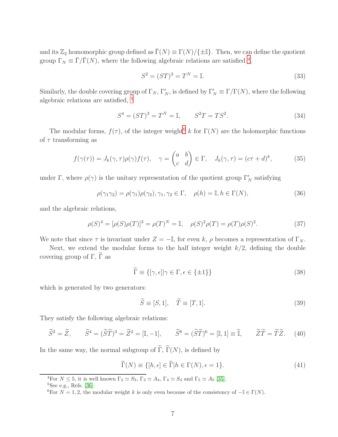and its  $\mathbb{Z}_2$  homomorphic group defined as  $\bar{\Gamma}(N) \equiv \Gamma(N)/\{\pm \mathbb{I}\}\.$  Then, we can define the quotient group  $\Gamma_N \equiv \bar{\Gamma}/\bar{\Gamma}(N)$ , where the following algebraic relations are satisfied <sup>[4](#page-7-0)</sup>,

$$
S^2 = (ST)^3 = T^N = \mathbb{I}.\tag{33}
$$

Similarly, the double covering group of  $\Gamma_N$ ,  $\Gamma'_N$ , is defined by  $\Gamma'_N \equiv \Gamma/\Gamma(N)$ , where the following algebraic relations are satisfied,  $\frac{5}{2}$  $\frac{5}{2}$  $\frac{5}{2}$ 

$$
S^4 = (ST)^3 = T^N = \mathbb{I}, \qquad S^2T = TS^2. \tag{34}
$$

The modular forms,  $f(\tau)$ , of the integer weight<sup>[6](#page-7-2)</sup> k for  $\Gamma(N)$  are the holomorphic functions of  $\tau$  transforming as

$$
f(\gamma(\tau)) = J_k(\gamma, \tau) \rho(\gamma) f(\tau), \quad \gamma = \begin{pmatrix} a & b \\ c & d \end{pmatrix} \in \Gamma, \quad J_k(\gamma, \tau) = (c\tau + d)^k,
$$
 (35)

under  $\Gamma$ , where  $\rho(\gamma)$  is the unitary representation of the quotient group  $\Gamma'_N$  satisfying

$$
\rho(\gamma_1 \gamma_2) = \rho(\gamma_1)\rho(\gamma_2), \gamma_1, \gamma_2 \in \Gamma, \quad \rho(h) = \mathbb{I}, h \in \Gamma(N), \tag{36}
$$

and the algebraic relations,

$$
\rho(S)^4 = [\rho(S)\rho(T)]^3 = \rho(T)^N = \mathbb{I}, \quad \rho(S)^2 \rho(T) = \rho(T)\rho(S)^2.
$$
 (37)

We note that since  $\tau$  is invariant under  $Z = -\mathbb{I}$ , for even k,  $\rho$  becomes a representation of  $\Gamma_N$ .

Next, we extend the modular forms to the half integer weight  $k/2$ , defining the double covering group of  $\Gamma$ ,  $\widetilde{\Gamma}$  as

$$
\widetilde{\Gamma} \equiv \{ [\gamma, \epsilon] | \gamma \in \Gamma, \epsilon \in \{\pm 1\} \} \tag{38}
$$

which is generated by two generators:

$$
\widetilde{S} \equiv [S, 1], \quad \widetilde{T} \equiv [T, 1]. \tag{39}
$$

They satisfy the following algebraic relations:

$$
\widetilde{S}^2 = \widetilde{Z}, \qquad \widetilde{S}^4 = (\widetilde{S}\widetilde{T})^3 = \widetilde{Z}^2 = [\mathbb{I}, -1], \qquad \widetilde{S}^8 = (\widetilde{S}\widetilde{T})^6 = [\mathbb{I}, 1] \equiv \widetilde{\mathbb{I}}, \qquad \widetilde{Z}\widetilde{T} = \widetilde{T}\widetilde{Z}. \tag{40}
$$

In the same way, the normal subgroup of  $\widetilde{\Gamma}$ ,  $\widetilde{\Gamma}(N)$ , is defined by

$$
\widetilde{\Gamma}(N) \equiv \{ [h, \epsilon] \in \widetilde{\Gamma} | h \in \Gamma(N), \epsilon = 1 \}.
$$
\n(41)

<span id="page-7-0"></span><sup>4</sup>For  $N \le 5$ , it is well known  $\Gamma_2 \simeq S_3$ ,  $\Gamma_3 \simeq A_4$ ,  $\Gamma_4 \simeq S_4$  and  $\Gamma_5 \simeq A_5$  [\[35\]](#page-30-0).  ${}^{5}$ See e.g., Refs. [\[36\]](#page-30-1).

<span id="page-7-2"></span><span id="page-7-1"></span><sup>&</sup>lt;sup>6</sup>For  $N = 1, 2$ , the modular weight k is only even because of the consistency of  $-\mathbb{I} \in \Gamma(N)$ .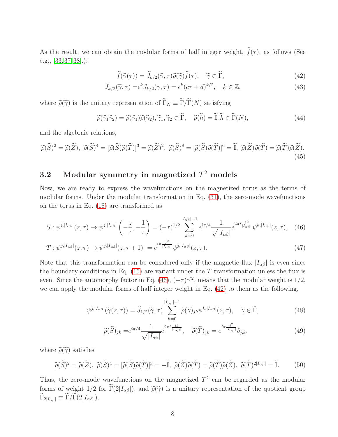As the result, we can obtain the modular forms of half integer weight,  $\tilde{f}(\tau)$ , as follows (See e.g., [\[33,](#page-29-11) [37,](#page-30-2) [38\]](#page-30-3).):

<span id="page-8-1"></span>
$$
\widetilde{f}(\widetilde{\gamma}(\tau)) = \widetilde{J}_{k/2}(\widetilde{\gamma}, \tau)\widetilde{\rho}(\widetilde{\gamma})\widetilde{f}(\tau), \quad \widetilde{\gamma} \in \widetilde{\Gamma}, \tag{42}
$$

$$
\widetilde{J}_{k/2}(\widetilde{\gamma},\tau) = \epsilon^k J_{k/2}(\gamma,\tau) = \epsilon^k (c\tau + d)^{k/2}, \quad k \in \mathbb{Z},
$$
\n(43)

where  $\tilde{\rho}(\tilde{\gamma})$  is the unitary representation of  $\tilde{\Gamma}_N \equiv \tilde{\Gamma}/\tilde{\Gamma}(N)$  satisfying

$$
\widetilde{\rho}(\widetilde{\gamma}_1 \widetilde{\gamma}_2) = \widetilde{\rho}(\widetilde{\gamma}_1)\widetilde{\rho}(\widetilde{\gamma}_2), \widetilde{\gamma}_1, \widetilde{\gamma}_2 \in \widetilde{\Gamma}, \quad \widetilde{\rho}(\widetilde{h}) = \widetilde{\mathbb{I}}, \widetilde{h} \in \widetilde{\Gamma}(N), \tag{44}
$$

and the algebraic relations,

$$
\widetilde{\rho}(\widetilde{S})^2 = \widetilde{\rho}(\widetilde{Z}), \ \widetilde{\rho}(\widetilde{S})^4 = [\widetilde{\rho}(\widetilde{S})\widetilde{\rho}(\widetilde{T})]^3 = \widetilde{\rho}(\widetilde{Z})^2, \ \widetilde{\rho}(\widetilde{S})^8 = [\widetilde{\rho}(\widetilde{S})\widetilde{\rho}(\widetilde{T})]^6 = \widetilde{\mathbb{I}}, \ \widetilde{\rho}(\widetilde{Z})\widetilde{\rho}(\widetilde{T}) = \widetilde{\rho}(\widetilde{T})\widetilde{\rho}(\widetilde{Z}).
$$
\n(45)

## <span id="page-8-3"></span> $\bf 3.2 \quad Modular\ symmetry\ in\ magnetized\ } T^2\ models$

Now, we are ready to express the wavefunctions on the magnetized torus as the terms of modular forms. Under the modular transformation in Eq. [\(31\)](#page-6-1), the zero-mode wavefunctions on the torus in Eq. [\(18\)](#page-5-0) are transformed as

$$
S: \psi^{j,|I_{\alpha\beta}|}(z,\tau) \to \psi^{j,|I_{\alpha\beta}|}\left(-\frac{z}{\tau},-\frac{1}{\tau}\right) = (-\tau)^{1/2} \sum_{k=0}^{|I_{\alpha\beta}|-1} e^{i\pi/4} \frac{1}{\sqrt{|I_{\alpha\beta}|}} e^{2\pi i \frac{jk}{|I_{\alpha\beta}|}} \psi^{k,|I_{\alpha\beta}|}(z,\tau), \quad (46)
$$

$$
T: \psi^{j,|I_{\alpha\beta}|}(z,\tau) \to \psi^{j,|I_{\alpha\beta}|}(z,\tau+1) = e^{i\pi \frac{j^2}{|I_{\alpha\beta}|}} \psi^{j,|I_{\alpha\beta}|}(z,\tau). \tag{47}
$$

Note that this transformation can be considered only if the magnetic flux  $|I_{\alpha\beta}|$  is even since the boundary conditions in Eq. [\(15\)](#page-4-0) are variant under the  $T$  transformation unless the flux is even. Since the automorphy factor in Eq. [\(46\)](#page-8-0),  $(-\tau)^{1/2}$ , means that the modular weight is 1/2, we can apply the modular forms of half integer weight in Eq. [\(42\)](#page-8-1) to them as the following,

$$
\psi^{j,|I_{\alpha\beta}|}(\widetilde{\gamma}(z,\tau)) = \widetilde{J}_{1/2}(\widetilde{\gamma},\tau) \sum_{k=0}^{|I_{\alpha\beta}|-1} \widetilde{\rho}(\widetilde{\gamma})_{jk} \psi^{k,|I_{\alpha\beta}|}(z,\tau), \quad \widetilde{\gamma} \in \widetilde{\Gamma},
$$
\n(48)

<span id="page-8-5"></span><span id="page-8-4"></span><span id="page-8-2"></span><span id="page-8-0"></span>
$$
\widetilde{\rho}(\widetilde{S})_{jk} = e^{i\pi/4} \frac{1}{\sqrt{|I_{\alpha\beta}|}} e^{2\pi i \frac{jk}{|I_{\alpha\beta}|}}, \quad \widetilde{\rho}(\widetilde{T})_{jk} = e^{i\pi \frac{j^2}{|I_{\alpha\beta}|}} \delta_{j,k}.
$$
\n(49)

where  $\widetilde{\rho}(\widetilde{\gamma})$  satisfies

$$
\widetilde{\rho}(\widetilde{S})^2 = \widetilde{\rho}(\widetilde{Z}), \ \widetilde{\rho}(\widetilde{S})^4 = [\widetilde{\rho}(\widetilde{S})\widetilde{\rho}(\widetilde{T})]^3 = -\widetilde{\mathbb{I}}, \ \widetilde{\rho}(\widetilde{Z})\widetilde{\rho}(\widetilde{T}) = \widetilde{\rho}(\widetilde{T})\widetilde{\rho}(\widetilde{Z}), \ \widetilde{\rho}(\widetilde{T})^{2|I_{\alpha\beta}|} = \widetilde{\mathbb{I}}.
$$
 (50)

Thus, the zero-mode wavefunctions on the magnetized  $T^2$  can be regarded as the modular forms of weight 1/2 for  $\tilde{\Gamma}(2|I_{\alpha\beta}|)$ , and  $\tilde{\rho}(\tilde{\gamma})$  is a unitary representation of the quotient group  $\widetilde{\Gamma}_{2|I_{\alpha\beta}} \equiv \widetilde{\Gamma}/\widetilde{\Gamma}(2|I_{\alpha\beta}|).$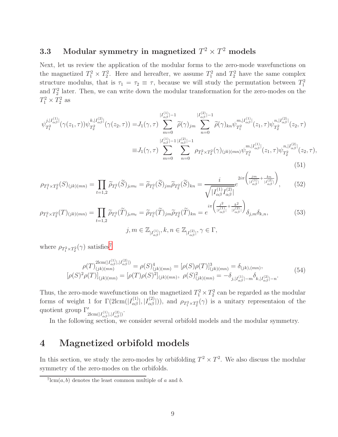# 3.3 Modular symmetry in magnetized  $T^2 \times T^2$  models

Next, let us review the application of the modular forms to the zero-mode wavefunctions on the magnetized  $T_1^2 \times T_2^2$ . Here and hereafter, we assume  $T_1^2$  and  $T_2^2$  have the same complex structure modulus, that is  $\tau_1 = \tau_2 \equiv \tau$ , because we will study the permutation between  $T_1^2$ and  $T_2^2$  later. Then, we can write down the modular transformation for the zero-modes on the  $T_1^2 \times T_2^2$  as

$$
\psi_{T_1^2}^{j,|I_{\alpha\beta}^{(1)}|}(\gamma(z_1,\tau))\psi_{T_2^2}^{k,|I_{\alpha\beta}^{(2)}|}(\gamma(z_2,\tau)) = J_1(\gamma,\tau) \sum_{m=0}^{|I_{\alpha\beta}^{(1)}|-1} \tilde{\rho}(\gamma)_{jm} \sum_{n=0}^{|I_{\alpha\beta}^{(2)}|-1} \tilde{\rho}(\gamma)_{kn}\psi_{T_1^2}^{m,|I_{\alpha\beta}^{(1)}|}(z_1,\tau)\psi_{T_2^2}^{n,|I_{\alpha\beta}^{(2)}|}(z_2,\tau)
$$
  
\n
$$
\equiv J_1(\gamma,\tau) \sum_{m=0}^{|I_{\alpha\beta}^{(1)}|-1} \sum_{n=0}^{|I_{\alpha\beta}^{(2)}|-1} \rho_{T_1^2 \times T_2^2}(\gamma)_{(jk)(mn)} \psi_{T_1^2}^{m,|I_{\alpha\beta}^{(1)}|}(z_1,\tau)\psi_{T_2^2}^{n,|I_{\alpha\beta}^{(2)}|}(z_2,\tau),
$$
\n(51)

$$
\rho_{T_1^2 \times T_2^2}(S)_{(jk)(mn)} = \prod_{t=1,2} \widetilde{\rho}_{T_t^2}(\widetilde{S})_{j_t m_t} = \widetilde{\rho}_{T_1^2}(\widetilde{S})_{jm} \widetilde{\rho}_{T_2^2}(\widetilde{S})_{kn} = \frac{i}{\sqrt{|I_{\alpha\beta}^{(1)}I_{\alpha\beta}^{(2)}|}} e^{2i\pi \left(\frac{jm}{|I_{\alpha\beta}^{(1)}|} + \frac{kn}{|I_{\alpha\beta}^{(2)}|}\right)},
$$
(52)

$$
\rho_{T_1^2 \times T_2^2}(T)_{(jk)(mn)} = \prod_{t=1,2} \widetilde{\rho}_{T_t^2}(\widetilde{T})_{j_t m_t} = \widetilde{\rho}_{T_1^2}(\widetilde{T})_{jm} \widetilde{\rho}_{T_2^2}(\widetilde{T})_{kn} = e^{i\pi \left(\frac{j^2}{|I_{\alpha\beta}^{(1)}|} + \frac{k^2}{|I_{\alpha\beta}^{(2)}|}\right)} \delta_{j,m} \delta_{k,n},
$$
\n(53)

where  $\rho_{T_1^2 \times T_2^2}(\gamma)$  satisfies<sup>[7](#page-9-1)</sup>

$$
\rho(T)^{2lcm(I_{\alpha\beta}^{(1)}|,|I_{\alpha\beta}^{(2)}|)}_{(jk)(mn)} = \rho(S)^{4}_{(jk)(mn)} = [\rho(S)\rho(T)]^{3}_{(jk)(mn)} = \delta_{(jk),(mn)},
$$
\n
$$
[\rho(S)^{2}\rho(T)]_{(jk)(mn)} = [\rho(T)\rho(S)^{2}]_{(jk)(mn)}, \ \rho(S)^{2}_{(jk)(mn)} = -\delta_{j,|I_{\alpha\beta}^{(1)}|-m}\delta_{k,|I_{\alpha\beta}^{(2)}|-n}.
$$
\n(54)

Thus, the zero-mode wavefunctions on the magnetized  $T_1^2 \times T_2^2$  can be regarded as the modular forms of weight 1 for  $\Gamma(2\text{lcm}(|I_{\alpha\beta}^{(1)}|, |I_{\alpha\beta}^{(2)}|)),$  and  $\rho_{T_1^2 \times T_2^2}(\gamma)$  is a unitary representaion of the quotient group  $\Gamma'_{2\text{lcm}(|I_{\alpha\beta}^{(1)}|,|I_{\alpha\beta}^{(2)}|)}$ .

In the following section, we consider several orbifold models and the modular symmetry.

# <span id="page-9-0"></span>4 Magnetized orbifold models

In this section, we study the zero-modes by orbifolding  $T^2 \times T^2$ . We also discuss the modular symmetry of the zero-modes on the orbifolds.

<span id="page-9-1"></span> $7 \text{lcm}(a, b)$  denotes the least common multiple of a and b.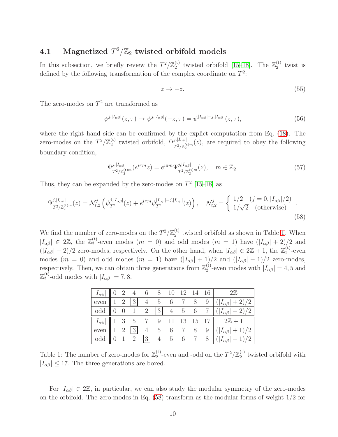# 4.1 Magnetized  $T^2/\mathbb{Z}_2$  twisted orbifold models

In this subsection, we briefly review the  $T^2/\mathbb{Z}_2^{(t)}$  $\frac{1}{2}$ <sup>(t)</sup> twisted orbifold [\[15](#page-28-3)[–18\]](#page-28-8). The  $\mathbb{Z}_2^{(t)}$  $2^{(1)}$  twist is defined by the following transformation of the complex coordinate on  $T^2$ :

<span id="page-10-1"></span>
$$
z \to -z. \tag{55}
$$

The zero-modes on  $T^2$  are transformed as

$$
\psi^{j,|I_{\alpha\beta}|}(z,\tau) \to \psi^{j,|I_{\alpha\beta}|}(-z,\tau) = \psi^{|I_{\alpha\beta}|-j,|I_{\alpha\beta}|}(z,\tau),\tag{56}
$$

where the right hand side can be confirmed by the explict computation from Eq. [\(18\)](#page-5-0). The zero-modes on the  $T^2/\mathbb{Z}_2^{(\text{t})}$ <sup>(t)</sup> twisted orbifold,  $\Psi_{T^2/\mathbb{Z}_2^{(t)m}}^{j,|I_{\alpha\beta}|}(z)$ , are required to obey the following boundary condition,

$$
\Psi_{T^2/\mathbb{Z}_2^{(t)m}}^{j,|I_{\alpha\beta}|}(e^{i\pi m}z) = e^{i\pi m} \Psi_{T^2/\mathbb{Z}_2^{(t)m}}^{j,|I_{\alpha\beta}|}(z), \quad m \in \mathbb{Z}_2.
$$
\n(57)

Thus, they can be expanded by the zero-modes on  $T^2$  [\[15](#page-28-3)[–18\]](#page-28-8) as

$$
\Psi_{T^{2}/\mathbb{Z}_{2}^{(t)m}}^{j,|I_{\alpha\beta}|}(z) = \mathcal{N}_{t,2}^{j} \left( \psi_{T^{2}}^{j,|I_{\alpha\beta}|}(z) + e^{i\pi m} \psi_{T^{2}}^{|I_{\alpha\beta}|-j,|I_{\alpha\beta}|}(z) \right), \quad \mathcal{N}_{t,2}^{j} = \begin{cases} 1/2 & (j=0,|I_{\alpha\beta}|/2) \\ 1/\sqrt{2} & (\text{otherwise}) \end{cases}.
$$
\n(58)

We find the number of zero-modes on the  $T^2/\mathbb{Z}_2^{(t)}$  $_2^{(t)}$  twisted orbifold as shown in Table [1.](#page-10-0) When  $|I_{\alpha\beta}| \in 2\mathbb{Z}$ , the  $\mathbb{Z}_2^{(t)}$ <sup>(i)</sup>-even modes  $(m = 0)$  and odd modes  $(m = 1)$  have  $(|I_{\alpha\beta}| + 2)/2$  and  $(|I_{\alpha\beta}| - 2)/2$  zero-modes, respectively. On the other hand, when  $|I_{\alpha\beta}| \in 2\mathbb{Z} + 1$ , the  $\mathbb{Z}_2^{(t)}$  $2^{\binom{1}{2}}$ -even modes ( $m = 0$ ) and odd modes ( $m = 1$ ) have  $(|I_{\alpha\beta}| + 1)/2$  and  $(|I_{\alpha\beta}| - 1)/2$  zero-modes, respectively. Then, we can obtain three generations from  $\mathbb{Z}_2^{(t)}$  $\binom{1}{2}$ -even modes with  $|I_{\alpha\beta}| = 4, 5$  and  $\mathbb{Z}_2^{(\text{t})}$  $\binom{[t]}{2}$ -odd modes with  $|I_{\alpha\beta}| = 7, 8$ .

|  |  |  |  |  | $ I_{\alpha\beta}  \parallel 0 \quad 2 \quad 4 \quad 6 \quad 8 \quad 10 \quad 12 \quad 14 \quad 16 \parallel \qquad 2\mathbb{Z}$ |
|--|--|--|--|--|----------------------------------------------------------------------------------------------------------------------------------|
|  |  |  |  |  | even 1 2 3 4 5 6 7 8 9 $( I_{\alpha\beta} +2)/2$                                                                                 |
|  |  |  |  |  | odd $\begin{bmatrix} 0 & 0 & 1 & 2 & 3 & 4 & 5 & 6 & 7 \end{bmatrix}$ $(\begin{bmatrix} I_{\alpha\beta} \end{bmatrix} - 2)/2$    |
|  |  |  |  |  |                                                                                                                                  |
|  |  |  |  |  | $ I_{\alpha\beta} $ 1 3 5 7 9 11 13 15 17 2Z + 1                                                                                 |
|  |  |  |  |  | even $\begin{vmatrix} 1 & 2 & 3 & 4 & 5 & 6 & 7 & 8 & 9 \end{vmatrix}$ $(\begin{vmatrix} I_{\alpha\beta} \end{vmatrix} + 1)/2$   |

<span id="page-10-0"></span>Table 1: The number of zero-modes for  $\mathbb{Z}_2^{(t)}$ <sup>(t)</sup>-even and -odd on the  $T^2/\mathbb{Z}_2^{(t)}$  $2^{(1)}$  twisted orbifold with  $|I_{\alpha\beta}| \leq 17$ . The three generations are boxed.

For  $|I_{\alpha\beta}| \in 2\mathbb{Z}$ , in particular, we can also study the modular symmetry of the zero-modes on the orbifold. The zero-modes in Eq. [\(58\)](#page-10-1) transform as the modular forms of weight 1/2 for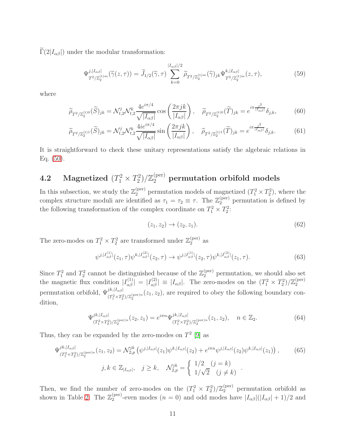$\widetilde{\Gamma}(2|I_{\alpha\beta}|)$  under the modular transformation:

$$
\Psi_{T^2/\mathbb{Z}_2^{(t)m}}^{j,|I_{\alpha\beta}|}(\widetilde{\gamma}(z,\tau)) = \widetilde{J}_{1/2}(\widetilde{\gamma},\tau) \sum_{k=0}^{|I_{\alpha\beta}|/2} \widetilde{\rho}_{T^2/\mathbb{Z}_2^{(t)m}}(\widetilde{\gamma})_{jk} \Psi_{T^2/\mathbb{Z}_2^{(t)m}}^{k,|I_{\alpha\beta}|}(z,\tau),
$$
\n(59)

where

$$
\widetilde{\rho}_{T^2/\mathbb{Z}_2^{(\text{t})^0}}(\widetilde{S})_{jk} = \mathcal{N}_{t,2}^j \mathcal{N}_{t,2}^k \frac{4e^{i\pi/4}}{\sqrt{|I_{\alpha\beta}|}} \cos\left(\frac{2\pi jk}{|I_{\alpha\beta}|}\right), \quad \widetilde{\rho}_{T^2/\mathbb{Z}_2^{(\text{t})^0}}(\widetilde{T})_{jk} = e^{i\pi \frac{j^2}{|I_{\alpha\beta}|}} \delta_{j,k},\tag{60}
$$

$$
\widetilde{\rho}_{T^2/\mathbb{Z}_2^{(t)1}}(\widetilde{S})_{jk} = \mathcal{N}_{t,2}^j \mathcal{N}_{t,2}^k \frac{4ie^{i\pi/4}}{\sqrt{|I_{\alpha\beta}|}} \sin\left(\frac{2\pi jk}{|I_{\alpha\beta}|}\right), \quad \widetilde{\rho}_{T^2/\mathbb{Z}_2^{(t)1}}(\widetilde{T})_{jk} = e^{i\pi \frac{j^2}{|I_{\alpha\beta}|}} \delta_{j,k}.
$$
\n(61)

It is straightforward to check these unitary representations satisfy the algebraic relations in Eq. [\(50\)](#page-8-2).

#### **4.2** Magnetized  $(T_1^2 \times T_2^2)$  $\mathbb{Z}_2^{(2)}/\mathbb{Z}_2^{\text{(per)}}$  permutation orbifold models

In this subsection, we study the  $\mathbb{Z}_2^{(\text{per})}$  permutation models of magnetized  $(T_1^2 \times T_2^2)$ , where the complex structure moduli are identified as  $\tau_1 = \tau_2 \equiv \tau$ . The  $\mathbb{Z}_2^{(\text{per})}$  permutation is defined by the following transformation of the complex coordinate on  $T_1^2 \times T_2^2$ :

<span id="page-11-0"></span>
$$
(z_1, z_2) \to (z_2, z_1). \tag{62}
$$

The zero-modes on  $T_1^2 \times T_2^2$  are transformed under  $\mathbb{Z}_2^{(\text{per})}$  as

$$
\psi^{j,|I_{\alpha\beta}^{(1)}|}(z_1,\tau)\psi^{k,|I_{\alpha\beta}^{(2)}|}(z_2,\tau)\to\psi^{j,|I_{\alpha\beta}^{(1)}|}(z_2,\tau)\psi^{k,|I_{\alpha\beta}^{(2)}|}(z_1,\tau). \tag{63}
$$

Since  $T_1^2$  and  $T_2^2$  cannot be distinguished because of the  $\mathbb{Z}_2^{(\text{per})}$  permutation, we should also set the magnetic flux condition  $|I_{\alpha\beta}^{(1)}| = |I_{\alpha\beta}^{(2)}| \equiv |I_{\alpha\beta}|$ . The zero-modes on the  $(T_1^2 \times T_2^2)/\mathbb{Z}_2^{\text{(per)}}$ 2 permutation orbifold,  $\Psi_{(T_1^2 \times T_2^2)/\mathbb{Z}_2^{(\text{per})n}}^{jk, |I_{\alpha\beta}|}(z_1, z_2)$ , are required to obey the following boundary condition,

$$
\Psi_{(T_1^2 \times T_2^2)/\mathbb{Z}_2^{(\text{per})n}}^{jk,|I_{\alpha\beta}|}(z_2, z_1) = e^{i\pi n} \Psi_{(T_1^2 \times T_2^2)/\mathbb{Z}_2^{(\text{per})n}}^{jk,|I_{\alpha\beta}|}(z_1, z_2), \quad n \in \mathbb{Z}_2.
$$
\n(64)

Thus, they can be expanded by the zero-modes on  $T^2$  [\[9\]](#page-28-0) as

$$
\Psi_{(T_1^2 \times T_2^2)/\mathbb{Z}_2^{(\text{per})n}}^{jk,|I_{\alpha\beta}|}(z_1, z_2) = \mathcal{N}_{2,p}^{jk} \left( \psi^{j,|I_{\alpha\beta}|}(z_1) \psi^{k,|I_{\alpha\beta}|}(z_2) + e^{i\pi n} \psi^{j,|I_{\alpha\beta}|}(z_2) \psi^{k,|I_{\alpha\beta}|}(z_1) \right), \tag{65}
$$
\n
$$
j, k \in \mathbb{Z}_{|I_{\alpha\beta}|}, \quad j \ge k, \quad \mathcal{N}_{2,p}^{jk} = \begin{cases} 1/2 & (j = k) \\ 1/\sqrt{2} & (j \ne k) \end{cases}
$$

Then, we find the number of zero-modes on the  $(T_1^2 \times T_2^2)/\mathbb{Z}_2^{(\text{per})}$  permutation orbifold as shown in Table [2.](#page-12-0) The  $\mathbb{Z}_2^{(\text{per})}$ <sup>(per)</sup>-even modes  $(n = 0)$  and odd modes have  $|I_{\alpha\beta}|(|I_{\alpha\beta}| + 1)/2$  and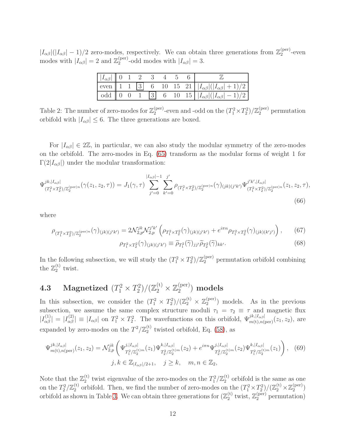$|I_{\alpha\beta}|(|I_{\alpha\beta}| - 1)/2$  zero-modes, respectively. We can obtain three generations from  $\mathbb{Z}_2^{(\text{per})}$  $2^{(\text{per})}$ -even modes with  $|I_{\alpha\beta}| = 2$  and  $\mathbb{Z}_2^{(\text{per})}$  $\binom{\text{per}}{2}$ -odd modes with  $|I_{\alpha\beta}|=3$ .

| $\left \begin{array}{ccc}  I_{\alpha\beta}  & 0 & 1 & 2 & 3 & 4 & 5 & 6 \end{array}\right $ |  |  |  |                                                                                       |
|---------------------------------------------------------------------------------------------|--|--|--|---------------------------------------------------------------------------------------|
|                                                                                             |  |  |  | even    1 1    3    6    10    15    21    $ I_{\alpha\beta} ( I_{\alpha\beta} +1)/2$ |
|                                                                                             |  |  |  | odd 0 0 1 3 6 10 15 $ I_{\alpha\beta}  ( I_{\alpha\beta}  - 1)/2$                     |

<span id="page-12-0"></span>Table 2: The number of zero-modes for  $\mathbb{Z}_2^{(\text{per})}$ (per)-even and -odd on the  $(T_1^2 \times T_2^2)/\mathbb{Z}_2^{(\text{per})}$  permutation orbifold with  $|I_{\alpha\beta}| \leq 6$ . The three generations are boxed.

For  $|I_{\alpha\beta}| \in 2\mathbb{Z}$ , in particular, we can also study the modular symmetry of the zero-modes on the orbifold. The zero-modes in Eq. [\(65\)](#page-11-0) transform as the modular forms of weight 1 for  $\Gamma(2|I_{\alpha\beta}|)$  under the modular transformation:

$$
\Psi_{(T_1^2 \times T_2^2)/\mathbb{Z}_2^{(\text{per})n}}^{jk,|I_{\alpha\beta}|}(\gamma(z_1, z_2, \tau)) = J_1(\gamma, \tau) \sum_{j'=0}^{|I_{\alpha\beta}|-1} \sum_{k'=0}^{j'} \rho_{(T_1^2 \times T_2^2)/\mathbb{Z}_2^{(\text{per})n}}(\gamma)_{(jk)(j'k')} \Psi_{(T_1^2 \times T_2^2)/\mathbb{Z}_2^{(\text{per})n}}^{j'k',|I_{\alpha\beta}|} (z_1, z_2, \tau),
$$
\n(66)

where

$$
\rho_{(T_1^2 \times T_2^2)/\mathbb{Z}_2^{(\text{per})n}}(\gamma)_{(jk)(j'k')} = 2\mathcal{N}_{2,p}^{jk} \mathcal{N}_{2,p}^{j'k'} \left(\rho_{T_1^2 \times T_2^2}(\gamma)_{(jk)(j'k')} + e^{i\pi n} \rho_{T_1^2 \times T_2^2}(\gamma)_{(jk)(k'j')} \right),\tag{67}
$$

<span id="page-12-1"></span>
$$
\rho_{T_1^2 \times T_2^2}(\gamma)_{(jk)(j'k')} \equiv \widetilde{\rho}_{T_1^2}(\widetilde{\gamma})_{jj'} \widetilde{\rho}_{T_2^2}(\widetilde{\gamma})_{kk'}.
$$
\n(68)

In the following subsection, we will study the  $(T_1^2 \times T_2^2)/\mathbb{Z}_2^{\text{(per)}}$  permutation orbifold combining the  $\mathbb{Z}_2^{(\text{t})}$  $_2^{\left(\nu\right)}$  twist.

#### **4.3** Magnetized  $(T_1^2 \times T_2^2)$  $(\mathbb{Z}_2^{(t)} \times \mathbb{Z}_2^{(\text{per})})$  $_2^{\rm (per)}$ ) models

In this subsection, we consider the  $(T_1^2 \times T_2^2)/(\mathbb{Z}_2^{(t)} \times \mathbb{Z}_2^{(\text{per})})$  $2^{(per)}$ ) models. As in the previous subsection, we assume the same complex structure moduli  $\tau_1 = \tau_2 \equiv \tau$  and magnetic flux  $|I_{\alpha\beta}^{(1)}| = |I_{\alpha\beta}^{(2)}| \equiv |I_{\alpha\beta}|$  on  $T_1^2 \times T_2^2$ . The wavefunctions on this orbifold,  $\Psi_{m(t),n(\text{per})}^{jk,|I_{\alpha\beta}|}(z_1, z_2)$ , are expanded by zero-modes on the  $T^2/\mathbb{Z}_2^{(t)}$  $_2^{\text{\tiny{(t)}}}$  twisted orbifold, Eq. [\(58\)](#page-10-1), as

$$
\Psi_{m(t),n(\text{per})}^{jk,|I_{\alpha\beta}|}(z_1,z_2) = \mathcal{N}_{2,p}^{jk} \left( \Psi_{T_1^2/\mathbb{Z}_2^{(t)m}}^{j,|I_{\alpha\beta}|}(z_1) \Psi_{T_2^2/\mathbb{Z}_2^{(t)m}}^{k,|I_{\alpha\beta}|}(z_2) + e^{i\pi n} \Psi_{T_2^2/\mathbb{Z}_2^{(t)m}}^{j,|I_{\alpha\beta}|}(z_2) \Psi_{T_1^2/\mathbb{Z}_2^{(t)m}}^{k,|I_{\alpha\beta}|}(z_1) \right), \quad (69)
$$
  

$$
j, k \in \mathbb{Z}_{|I_{\alpha\beta}|/2+1}, \quad j \ge k, \quad m, n \in \mathbb{Z}_2,
$$

Note that the  $\mathbb{Z}_2^{(t)}$ <sup>(t)</sup> twist eigenvalue of the zero-modes on the  $T_1^2/\mathbb{Z}_2^{(t)}$  orbifold is the same as one on the  $T_2^2/\mathbb{Z}_2^{(t)}$ <sup>(t)</sup> orbifold. Then, we find the number of zero-modes on the  $(T_1^2 \times T_2^2)/(\mathbb{Z}_2^{(t)} \times \mathbb{Z}_2^{(\text{per})})$  $\binom{\text{per}}{2}$ orbifold as shown in Table [3.](#page-13-1) We can obtain three generations for  $(\mathbb{Z}_2^{(t)}$  $_2^{\text{(t)}}$  twist,  $\mathbb{Z}_2^{\text{(per)}}$  permutation)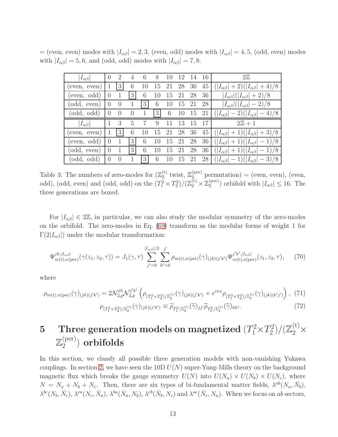= (even, even) modes with  $|I_{\alpha\beta}| = 2, 3$ , (even, odd) modes with  $|I_{\alpha\beta}| = 4, 5$ , (odd, even) modes with  $|I_{\alpha\beta}| = 5, 6$ , and (odd, odd) modes with  $|I_{\alpha\beta}| = 7, 8$ .

| $ I_{\alpha\beta} $ | $\theta$         | $\overline{2}$ | 4              | 6  | 8              | $\mathbf{1}(\mathbf{0})$ | 12 | -14 | 16 | $2\mathbb{Z}$                                      |
|---------------------|------------------|----------------|----------------|----|----------------|--------------------------|----|-----|----|----------------------------------------------------|
| even, even)         |                  | 3              | 6              | 10 | 15             | 21                       | 28 | 36  | 45 | $( I_{\alpha\beta}  + 2)( I_{\alpha\beta}  + 4)/8$ |
| (even, odd)         | $\left( \right)$ |                | 3              | 6  | 10             | 15                       | 21 | 28  | 36 | $ I_{\alpha\beta} ( I_{\alpha\beta} +2)/8$         |
| (odd, even)         | $\left( \right)$ | $\theta$       | $\mathbf{1}$   | 3  | 6              | 10                       | 15 | 21  | 28 | $ I_{\alpha\beta} ( I_{\alpha\beta} -2)/8$         |
| (odd, odd)          | $\left( \right)$ | $\theta$       | $\theta$       | 1  | 3 <sup>1</sup> | 6                        | 10 | 15  | 21 | $( I_{\alpha\beta}  - 2)( I_{\alpha\beta}  - 4)/8$ |
|                     |                  |                |                |    |                |                          |    |     |    |                                                    |
| $ I_{\alpha\beta} $ | 1                | 3              | 5              | 7  | 9              |                          | 13 | 15  | 17 | $2\mathbb{Z}+1$                                    |
| even, even)         |                  | 3              | 6              | 10 | 15             | 21                       | 28 | 36  | 45 | $( I_{\alpha\beta} +1)( I_{\alpha\beta} +3)/8$     |
| (even, odd)         | $\left( \right)$ | 1              | 3 <sup>1</sup> | 6  | 10             | 15                       | 21 | 28  | 36 | $( I_{\alpha\beta} +1)( I_{\alpha\beta} -1)/8$     |
| (odd, even)         | $\left( \right)$ |                | 3              | 6  | 10             | 15                       | 21 | 28  | 36 | $( I_{\alpha\beta} +1)( I_{\alpha\beta} -1)/8$     |

<span id="page-13-1"></span>Table 3: The numbers of zero-modes for  $(\mathbb{Z}_2^{(t)})$ <sup>(t)</sup> twist,  $\mathbb{Z}_2^{(\text{per})}$  permutation) = (even, even), (even, odd), (odd, even) and (odd, odd) on the  $(T_1^2 \times T_2^2) / (\mathbb{Z}_2^{(t)} \times \mathbb{Z}_2^{(\text{per})})$  $\binom{\text{per}}{2}$  orbifold with  $|I_{\alpha\beta}| \leq 16$ . The three generations are boxed.

For  $|I_{\alpha\beta}| \in 2\mathbb{Z}$ , in particular, we can also study the modular symmetry of the zero-modes on the orbifold. The zero-modes in Eq. [\(69\)](#page-12-1) transform as the modular forms of weight 1 for  $\Gamma(2|I_{\alpha\beta}|)$  under the modular transformation:

$$
\Psi_{m(t),n(\text{per})}^{jk,|I_{\alpha\beta}|}(\gamma(z_1,z_2,\tau)) = J_1(\gamma,\tau) \sum_{j'=0}^{|I_{\alpha\beta}|/2} \sum_{k'=0}^{j'} \rho_{m(t),n(\text{per})}(\gamma)_{(jk)(j'k')} \Psi_{m(t),n(\text{per})}^{j'k',|I_{\alpha\beta}|}(z_1,z_2,\tau), \quad (70)
$$

where

$$
\rho_{m(t),n(\text{per})}(\gamma)_{(jk)(j'k')} = 2\mathcal{N}_{2,p}^{jk}\mathcal{N}_{2,p}^{j'k'} \left(\rho_{(T_1^2 \times T_2^2)/\mathbb{Z}_2^{(t)}}(\gamma)_{(jk)(j'k')} + e^{i\pi n} \rho_{(T_1^2 \times T_2^2)/\mathbb{Z}_2^{(t)}}(\gamma)_{(jk)(k'j')} \right), (71)
$$
\n
$$
\rho_{(T_1^2 \times T_2^2)/\mathbb{Z}_2^{(t)}}(\gamma)_{(jk)(j'k')} \equiv \widetilde{\rho}_{T_1^2/\mathbb{Z}_2^{(t)}}(\widetilde{\gamma})_{jj'} \widetilde{\rho}_{T_2^2/\mathbb{Z}_2^{(t)}}(\widetilde{\gamma})_{kk'}.
$$

#### <span id="page-13-0"></span> $\textbf{5} \quad \textbf{Three generation models on magneticized} \; (T_1^2 \times T_2^2)$  $\mathbb{Z}_2^{2})/(\mathbb{Z}_2^{(\mathrm{t})})$  $2^2$  $\mathbb{Z}_2^{(\text{per})}$  $\binom{\text{(per)}}{2}$  orbifolds

In this section, we classfy all possible three generation models with non-vanishing Yukawa couplings. In section [2,](#page-2-1) we have seen the 10D  $U(N)$  super-Yang-Mills theory on the background magnetic flux which breaks the gauge symmetry  $U(N)$  into  $U(N_a) \times U(N_b) \times U(N_c)$ , where  $N = N_a + N_b + N_c$ . Then, there are six types of bi-fundamental matter fields,  $\lambda^{ab}(N_a, \bar{N}_b)$ ,  $\lambda^{bc}(N_b, \bar{N}_c)$ ,  $\lambda^{ca}(N_c, \bar{N}_a)$ ,  $\lambda^{ba}(\bar{N}_a, N_b)$ ,  $\lambda^{cb}(\bar{N}_b, N_c)$  and  $\lambda^{ac}(\bar{N}_c, N_a)$ . When we focus on ab sectors,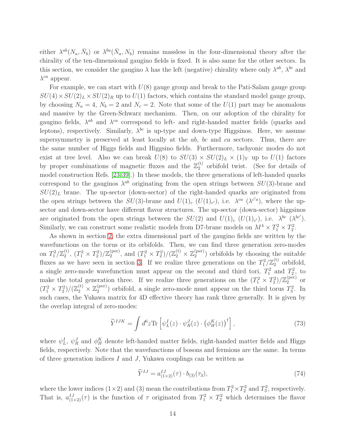either  $\lambda^{ab}(N_a, \bar{N}_b)$  or  $\lambda^{ba}(\bar{N}_a, N_b)$  remains massless in the four-dimensional theory after the chirality of the ten-dimensional gaugino fields is fixed. It is also same for the other sectors. In this section, we consider the gaugino  $\lambda$  has the left (negative) chirality where only  $\lambda^{ab}$ ,  $\lambda^{bc}$  and  $\lambda^{ca}$  appear.

For example, we can start with  $U(8)$  gauge group and break to the Pati-Salam gauge group  $SU(4) \times SU(2)_L \times SU(2)_R$  up to  $U(1)$  factors, which contains the standard model gauge group, by choosing  $N_a = 4$ ,  $N_b = 2$  and  $N_c = 2$ . Note that some of the  $U(1)$  part may be anomalous and massive by the Green-Schwarz mechanism. Then, on our adoption of the chirality for gaugino fields,  $\lambda^{ab}$  and  $\lambda^{ca}$  correspond to left- and right-handed matter fields (quarks and leptons), respectively. Similarly,  $\lambda^{bc}$  is up-type and down-type Higgsinos. Here, we assume supersymmetry is preserved at least locally at the ab, bc and ca sectors. Thus, there are the same number of Higgs fields and Higgsino fields. Furthermore, tachyonic modes do not exist at tree level. Also we can break  $U(8)$  to  $SU(3) \times SU(2)_L \times (1)_Y$  up to  $U(1)$  factors by proper combinations of magnetic fluxes and the  $\mathbb{Z}_2^{(t)}$  $_2^{(1)}$  orbifold twist. (See for details of model construction Refs. [\[23,](#page-29-12)[39\]](#page-30-4).) In these models, the three generations of left-handed quarks correspond to the gauginos  $\lambda^{ab}$  originating from the open strings between  $SU(3)$ -brane and  $SU(2)_L$  brane. The up-sector (down-sector) of the right-handed quarks are originated from the open strings between the  $SU(3)$ -brane and  $U(1)_c$   $(U(1)_{c'})$ , i.e.  $\lambda^{ca}$   $(\lambda^{c'a})$ , where the upsector and down-sector have different flavor structures. The up-sector (down-sector) higgsinos are originated from the open strings between the  $SU(2)$  and  $U(1)_c$   $(U(1)_{c'})$ , i.e.  $\lambda^{bc}$   $(\lambda^{bc'})$ . Similarly, we can construct some realistic models from D7-brane models on  $M^4 \times T_1^2 \times T_2^2$ .

As shown in section [2,](#page-2-1) the extra dimensional part of the gaugino fields are written by the wavefunctions on the torus or its orbifolds. Then, we can find three generation zero-modes on  $T_1^2/{\mathbb Z}_2^{({\rm t})}$  $\binom{1}{2}$ ,  $\left(T_1^2 \times T_2^2\right) / \mathbb{Z}_2^{\text{(per)}}$  $\binom{per}{2}$ , and  $(T_1^2 \times T_2^2) / (\mathbb{Z}_2^{(t)} \times \mathbb{Z}_2^{(per)}$  $\binom{per}{2}$  orbifolds by choosing the suitable fluxes as we have seen in section [3.](#page-6-0) If we realize three generations on the  $T_1^2/\mathbb{Z}_2^{(t)}$  orbifold, a single zero-mode wavefunction must appear on the second and third tori,  $T_1^2$  and  $T_2^2$ , to make the total generation three. If we realize three generations on the  $(T_1^2 \times T_2^2)/\mathbb{Z}_2^{(\text{per})}$  or  $(T_1^2 \times T_2^2) / (\mathbb{Z}_2^{(t)} \times \mathbb{Z}_2^{(\text{per})})$  $2^{(per)}$ ) orbifold, a single zero-mode must appear on the third torus  $T_3^2$ . In such cases, the Yukawa matrix for 4D effective theory has rank three generally. It is given by the overlap integral of zero-modes:

$$
\widetilde{Y}^{IJK} = \int d^6 z \text{Tr} \left[ \psi_L^I(z) \cdot \psi_R^J(z) \cdot \left( \phi_H^K(z) \right)^{\dagger} \right],\tag{73}
$$

where  $\psi_L^I$ ,  $\psi_R^J$  and  $\phi_H^K$  denote left-handed matter fields, right-handed matter fields and Higgs fields, respectively. Note that the wavefunctions of bosons and fermions are the same. In terms of three generation indices  $I$  and  $J$ , Yukawa couplings can be written as

<span id="page-14-0"></span>
$$
\widetilde{Y}^{IJ} = a_{(1 \times 2)}^{IJ}(\tau) \cdot b_{(3)}(\tau_3),\tag{74}
$$

where the lower indices (1 × 2) and (3) mean the contributions from  $T_1^2 \times T_2^2$  and  $T_3^2$ , respectively. That is,  $a_{(1\times2)}^{IJ}(\tau)$  is the function of  $\tau$  originated from  $T_1^2 \times T_2^2$  which determines the flavor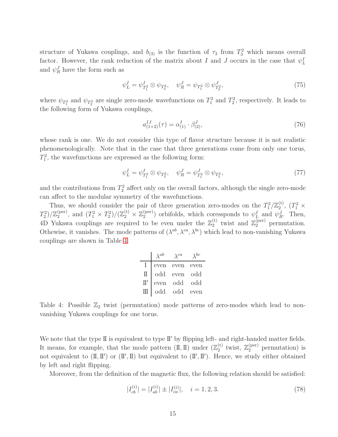structure of Yukawa couplings, and  $b_{(3)}$  is the function of  $\tau_3$  from  $T_3^2$  which means overall factor. However, the rank reduction of the matrix about I and J occurs in the case that  $\psi_L^I$ and  $\psi_R^J$  have the form such as

$$
\psi_L^I = \psi_{T_1^2}^I \otimes \psi_{T_2^2}, \quad \psi_R^J = \psi_{T_1^2} \otimes \psi_{T_2^2}^J,\tag{75}
$$

where  $\psi_{T_1^2}$  and  $\psi_{T_2^2}$  are single zero-mode wavefunctions on  $T_1^2$  and  $T_2^2$ , respectively. It leads to the following form of Yukawa couplings,

$$
a_{(1\times2)}^{IJ}(\tau) = \alpha_{(1)}^I \cdot \beta_{(2)}^J,\tag{76}
$$

whose rank is one. We do not consider this type of flavor structure because it is not realistic phenomenologically. Note that in the case that three generations come from only one torus,  $T_1^2$ , the wavefunctions are expressed as the following form:

$$
\psi_L^I = \psi_{T_1^2}^I \otimes \psi_{T_2^2}, \quad \psi_R^J = \psi_{T_1^2}^J \otimes \psi_{T_2^2}, \tag{77}
$$

and the contributions from  $T_2^2$  affect only on the overall factors, although the single zero-mode can affect to the modular symmetry of the wavefunctions.

Thus, we should consider the pair of three generation zero-modes on the  $T_1^2/\mathbb{Z}_2^{(t)}$  $\binom{1}{2}$ ,  $(T_1^2 \times$  $T_2^2)/\mathbb{Z}_2^{\text{(per)}}$  $\binom{per}{2}$ , and  $(T_1^2 \times T_2^2) / (\mathbb{Z}_2^{(t)} \times \mathbb{Z}_2^{(per)}$  $\psi_{Z}^{(per)}$ ) orbifolds, which coressponds to  $\psi_{L}^{I}$  and  $\psi_{R}^{J}$ . Then, 4D Yukawa couplings are required to be even under the  $\mathbb{Z}_2^{(t)}$  $\mathbb{Z}_2^{(per)}$  twist and  $\mathbb{Z}_2^{(per)}$  permutation. Othewise, it vanishes. The mode patterns of  $(\lambda^{ab}, \lambda^{ca}, \lambda^{bc})$  which lead to non-vanishing Yukawa couplings are shown in Table [4.](#page-15-0)

|        | $\lambda^{ab}$ | $\chi^{ca}$ | $\sqrt{bc}$ |
|--------|----------------|-------------|-------------|
| L      | even           | even        | even        |
| П      | odd            | even        | odd         |
| $\Pi'$ | even           | odd         | odd         |
| Ш      | odd            | odd         | even        |

<span id="page-15-0"></span>Table 4: Possible  $\mathbb{Z}_2$  twist (permutation) mode patterns of zero-modes which lead to nonvanishing Yukawa couplings for one torus.

We note that the type II is equivalent to type II' by flipping left- and right-handed matter fields. It means, for example, that the mode pattern  $(\mathbb{I}, \mathbb{I})$  under  $(\mathbb{Z}_2^{(t)}$  $\chi_2^{(t)}$  twist,  $\mathbb{Z}_2^{(\text{per})}$  permutation) is not equivalent to  $(\mathbb{I}, \mathbb{I}')$  or  $(\mathbb{I}', \mathbb{I})$  but equivalent to  $(\mathbb{I}', \mathbb{I}')$ . Hence, we study either obtained by left and right flipping.

Moreover, from the definition of the magnetic flux, the following relation should be satisfied:

<span id="page-15-1"></span>
$$
|I_{cb}^{(i)}| = |I_{ab}^{(i)}| \pm |I_{ca}^{(i)}|, \quad i = 1, 2, 3.
$$
 (78)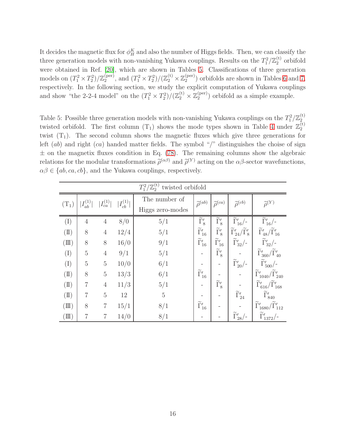It decides the magnetic flux for  $\phi_H^K$  and also the number of Higgs fields. Then, we can classify the three generation models with non-vanishing Yukawa couplings. Results on the  $T_1^2/\mathbb{Z}_2^{(t)}$  $2^{(1)}$  orbifold were obtained in Ref. [\[20\]](#page-29-1), which are shown in Tables [5.](#page-16-0) Classifications of three generation models on  $(T_1^2 \times T_2^2)/\mathbb{Z}_2^{\text{(per)}}$  $\binom{per}{2}$ , and  $\left(T_1^2 \times T_2^2\right) / \left(\mathbb{Z}_2^{(t)} \times \mathbb{Z}_2^{(per)}\right)$  $\binom{\text{(per)}}{2}$  orbifolds are shown in Tables [6](#page-17-0) and [7,](#page-17-1) respectively. In the following section, we study the explicit computation of Yukawa couplings and show "the 2-2-4 model" on the  $(T_1^2 \times T_2^2)/(\mathbb{Z}_2^{(t)} \times \mathbb{Z}_2^{(\text{per})})$  $\binom{per}{2}$  orbifold as a simple example.

<span id="page-16-0"></span>Table 5: Possible three generation models with non-vanishing Yukawa couplings on the  $T_1^2/\mathbb{Z}_2^{(t)}$ 2 twisted orbifold. The first column  $(T_1)$  shows the mode types shown in Table [4](#page-15-0) under  $\mathbb{Z}_2^{(t)}$ 2 twist  $(T_1)$ . The second column shows the magnetic fluxes which give three generations for left  $(ab)$  and right  $(ca)$  handed matter fields. The symbol "/" distinguishes the choise of sign  $\pm$  on the magnetix fluxes condition in Eq. [\(78\)](#page-15-1). The remaining columns show the algebraic relations for the modular transformations  $\tilde{\rho}^{(\alpha\beta)}$  and  $\tilde{\rho}^{(Y)}$  acting on the  $\alpha\beta$ -sector wavefunctions,  $\alpha\beta \in \{ab, ca, cb\}$ , and the Yukawa couplings, respectively.

|                               | $T_1^2/\mathbb{Z}_2^{(t)}$ twisted orbifold |                                   |                           |                  |                                    |                                      |                                                    |                                                        |
|-------------------------------|---------------------------------------------|-----------------------------------|---------------------------|------------------|------------------------------------|--------------------------------------|----------------------------------------------------|--------------------------------------------------------|
| $(T_1)$                       |                                             | $ I_{ab}^{(1)} $ $ I_{ca}^{(1)} $ | $\vert I^{(1)}_{cb}\vert$ | The number of    | $\widetilde{\rho}^{(ab)}$          | $\widetilde{\rho}^{(ca)}$            | $\widetilde{\rho}^{(cb)}$                          | $\widetilde{\rho}^{(Y)}$                               |
|                               |                                             |                                   |                           | Higgs zero-modes |                                    |                                      |                                                    |                                                        |
| (I)                           | $\overline{4}$                              | $\,4\,$                           | 8/0                       | 5/1              | $\overline{\widetilde{\Gamma}'_8}$ | $\overline{\widetilde{\Gamma}'_{8}}$ | $\frac{1}{\widetilde{\Gamma}'_{16}}$ /-            | $\frac{1}{\widetilde{\Gamma}'_{16}}$ /-                |
| $(\text{II})$                 | 8                                           | $\overline{4}$                    | 12/4                      | 5/1              | $\widetilde{\Gamma}_{16}'$         | $\widetilde{\Gamma}'_8$              | $\widetilde{\Gamma}_{24}'/\widetilde{\Gamma}_{8}'$ | $\widetilde{\Gamma}_{48}'/\widetilde{\Gamma}_{16}'$    |
| $(\mathbb{II})$               | 8                                           | 8                                 | 16/0                      | 9/1              | $\widetilde{\Gamma}_{16}'$         | $\widetilde{\Gamma}_{16}'$           | $\widetilde{\Gamma}'_{32}/$ -                      | $\widetilde{\Gamma}'_{32}/\text{-}$                    |
| (I)                           | $\overline{5}$                              | $\sqrt{4}$                        | 9/1                       | 5/1              |                                    | $\widetilde{\Gamma}'_8$              |                                                    | $\widetilde{\Gamma}_{360}'/\widetilde{\Gamma}_{40}'$   |
| (I)                           | $\overline{5}$                              | $\overline{5}$                    | 10/0                      | 6/1              |                                    |                                      | $\widetilde\Gamma'_{20}/$                          | $\widetilde{\Gamma}'_{500}/$                           |
| $(\text{I})$                  | 8                                           | $\rm 5$                           | 13/3                      | 6/1              | $\widetilde{\Gamma}'_{16}$         |                                      |                                                    | $\widetilde{\Gamma}_{1040}'/\widetilde{\Gamma}_{240}'$ |
| $(\mathrm{I\hspace{-.1em}I})$ | $\overline{7}$                              | $\,4\,$                           | 11/3                      | 5/1              |                                    | $\widetilde{\Gamma}'_8$              |                                                    | $\widetilde{\Gamma}'_{616}/\widetilde{\Gamma}'_{168}$  |
| $(\text{II})$                 | $\overline{7}$                              | $\overline{5}$                    | 12                        | $\bf 5$          |                                    |                                      | $\widetilde{\Gamma}'_{24}$                         | $\widetilde{\Gamma}'_{840}$                            |
| $(\mathbb{II})$               | 8                                           | $\overline{7}$                    | 15/1                      | 8/1              | $\widetilde{\Gamma}_{16}'$         |                                      |                                                    | $\widetilde{\Gamma}_{1680}'/\widetilde{\Gamma}_{112}'$ |
| $(\mathbb{II})$               | $\overline{7}$                              | 7                                 | 14/0                      | 8/1              |                                    |                                      | $\widetilde\Gamma'_{28}/$ -                        | $\widetilde\Gamma'_{1372}/$ -                          |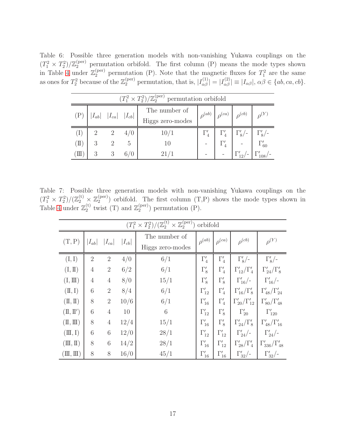<span id="page-17-0"></span>Table 6: Possible three generation models with non-vanishing Yukawa couplings on the  $(T_1^2 \times T_2^2)/\mathbb{Z}_2^{(\text{per})}$  permutation orbifold. The first column (P) means the mode types shown in Table [4](#page-15-0) under  $\mathbb{Z}_2^{(\text{per})}$  permutation (P). Note that the magnetic fluxes for  $T_1^2$  are the same as ones for  $T_2^2$  because of the  $\mathbb{Z}_2^{(\text{per})}$  permutation, that is,  $|I_{\alpha\beta}^{(1)}| = |I_{\alpha\beta}^{(2)}| \equiv |I_{\alpha\beta}|$ ,  $\alpha\beta \in \{ab, ca, cb\}$ .

|                                              | $(T_1^2 \times T_2^2)/\mathbb{Z}_2^{(\text{per})}$ permutation orbifold |                |     |                                   |               |               |                                           |                                                 |  |
|----------------------------------------------|-------------------------------------------------------------------------|----------------|-----|-----------------------------------|---------------|---------------|-------------------------------------------|-------------------------------------------------|--|
|                                              | $ I_{ab} $ $ I_{ca} $ $ I_{cb} $                                        |                |     | The number of<br>Higgs zero-modes | $\rho^{(ab)}$ | $\rho^{(ca)}$ | $\rho^{(cb)}$                             | $\rho^{(Y)}$                                    |  |
|                                              |                                                                         |                |     |                                   |               |               |                                           |                                                 |  |
| (I)                                          | $\overline{2}$                                                          | $\overline{2}$ | 4/0 | 10/1                              | $\Gamma'_4$   |               | $\Gamma_4'$ $\Gamma_8'/$ - $\Gamma_8'/$ - |                                                 |  |
| $(\Pi)$                                      | 3                                                                       | $\mathfrak{D}$ | 5   | 10                                |               | $\Gamma'_4$   |                                           | $\Gamma_{60}'$                                  |  |
| $(\mathrm{I\hspace{-.1em}I\hspace{-.1em}I})$ | 3                                                                       | - 3            | 6/0 | 21/1                              |               |               |                                           | $\Gamma_1$ - $\Gamma_{12}'$ - $\Gamma_{108}'$ - |  |

Table 7: Possible three generation models with non-vanishing Yukawa couplings on the  $(T_1^2 \times T_2^2)/(\mathbb{Z}_2^{(t)} \times \mathbb{Z}_2^{(\text{per})})$  $2^{(per)}$ ) orbifold. The first column  $(T,P)$  shows the mode types shown in Table [4](#page-15-0) under  $\mathbb{Z}_2^{(\text{t})}$  $_2^{\text{(t)}}$  twist (T) and  $\mathbb{Z}_2^{\text{(per)}}$  $2^{(per)}$ ) permutation (P).

<span id="page-17-1"></span>

|                              | $(T_1^2 \times T_2^2)/(\mathbb{Z}_2^{(t)} \times \mathbb{Z}_2^{(\text{per})})$<br>orbifold |                |            |                                   |                |                |                             |                                             |  |
|------------------------------|--------------------------------------------------------------------------------------------|----------------|------------|-----------------------------------|----------------|----------------|-----------------------------|---------------------------------------------|--|
| (T, P)                       | $ I_{ab} $                                                                                 | $ I_{ca} $     | $ I_{cb} $ | The number of<br>Higgs zero-modes | $\rho^{(ab)}$  | $\rho^{(ca)}$  | $\rho^{(cb)}$               | $\rho^{(Y)}$                                |  |
| (I, I)                       | $\overline{2}$                                                                             | $\overline{2}$ | 4/0        | 6/1                               | $\Gamma_4'$    | $\Gamma_4'$    | $\Gamma_8'$ /-              | $\Gamma_8^{\prime}$ /-                      |  |
| (I, II)                      | $\overline{4}$                                                                             | $\overline{2}$ | 6/2        | 6/1                               | $\Gamma_8'$    | $\Gamma_4'$    | $\Gamma'_{12}/\Gamma'_{4}$  | $\Gamma_{24}'/\Gamma_8'$                    |  |
| $(I, \Pi)$                   | $\overline{4}$                                                                             | $\,4\,$        | 8/0        | 15/1                              | $\Gamma_8'$    | $\Gamma_8'$    | $\Gamma_{16}^{\prime}/$ -   | $\Gamma_{16}'$ /-                           |  |
| $(\mathbb{I}, \mathbb{I})$   | 6                                                                                          | $\overline{2}$ | 8/4        | 6/1                               | $\Gamma'_{12}$ | $\Gamma_4'$    | $\Gamma'_{16}/\Gamma'_{8}$  | $\Gamma'_{48}/\Gamma'_{24}$                 |  |
| $(\mathbb{I}, \mathbb{I})$   | 8                                                                                          | $\overline{2}$ | 10/6       | 6/1                               | $\Gamma'_{16}$ | $\Gamma_4'$    | $\Gamma'_{20}/\Gamma'_{12}$ | $\Gamma_{80}^{\prime}/\Gamma_{48}^{\prime}$ |  |
| $(\Pi, \Pi')$                | 6                                                                                          | $\overline{4}$ | 10         | $6\phantom{.}6$                   | $\Gamma'_{12}$ | $\Gamma_8'$    | $\Gamma_{20}'$              | $\Gamma'_{120}$                             |  |
| $(\mathbb{I}, \mathbb{I})$   | 8                                                                                          | $\overline{4}$ | 12/4       | 15/1                              | $\Gamma'_{16}$ | $\Gamma_8'$    | $\Gamma_{24}'/\Gamma_8'$    | $\Gamma_{48}'/\Gamma_{16}'$                 |  |
| $(\mathbb{II}, I)$           | 6                                                                                          | 6              | 12/0       | 28/1                              | $\Gamma'_{12}$ | $\Gamma'_{12}$ | $\Gamma_{24}^{\prime}/$ -   | $\Gamma_{24}^{\prime}/$ -                   |  |
| $(\mathbb{II}, \mathbb{I})$  | 8                                                                                          | 6              | 14/2       | 28/1                              | $\Gamma'_{16}$ | $\Gamma'_{12}$ | $\Gamma_{28}'/\Gamma_4'$    | $\Gamma'_{336}/\Gamma'_{48}$                |  |
| $(\mathbb{II}, \mathbb{II})$ | 8                                                                                          | $8\,$          | 16/0       | 45/1                              | $\Gamma'_{16}$ | $\Gamma'_{16}$ | $\Gamma_{32}^{\prime}/$ -   | $\Gamma_{32}^{\prime}/-$                    |  |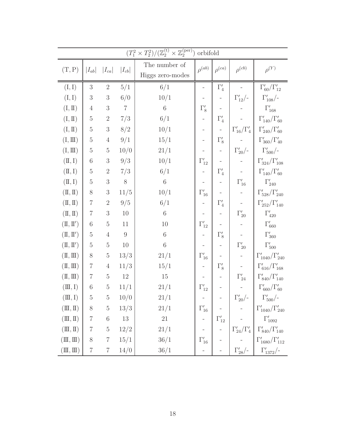|                                                                                       |                 |                |                  | $(T_1^2 \times T_2^2) / (\mathbb{Z}_2^{(t)} \times \mathbb{Z}_2^{(\text{per})})$ | orbifold                     |                          |                           |                                                                                                                                                                                                                                                                                                                                                                                                                                                                                            |
|---------------------------------------------------------------------------------------|-----------------|----------------|------------------|----------------------------------------------------------------------------------|------------------------------|--------------------------|---------------------------|--------------------------------------------------------------------------------------------------------------------------------------------------------------------------------------------------------------------------------------------------------------------------------------------------------------------------------------------------------------------------------------------------------------------------------------------------------------------------------------------|
| (T, P)                                                                                | $ I_{ab} $      | $ I_{ca} $     | $ I_{cb} $       | The number of<br>Higgs zero-modes                                                | $\rho^{(ab)}$                | $\rho^{(ca)}$            | $\rho^{(cb)}$             | $\rho^{(Y)}$                                                                                                                                                                                                                                                                                                                                                                                                                                                                               |
| (I, I)                                                                                | $\sqrt{3}$      | $\overline{2}$ | 5/1              | 6/1                                                                              | $\overline{\phantom{0}}$     | $\Gamma'_4$              |                           | $\Gamma_{60}^{\prime}/\Gamma_{12}^{\prime}$                                                                                                                                                                                                                                                                                                                                                                                                                                                |
| (I, I)                                                                                | $\sqrt{3}$      | $\sqrt{3}$     | 6/0              | 10/1                                                                             |                              |                          | $\Gamma_{12}^{\prime}/-$  | $\Gamma'_{108}/$ -                                                                                                                                                                                                                                                                                                                                                                                                                                                                         |
| (I, II)                                                                               | $\overline{4}$  | $\sqrt{3}$     | $\overline{7}$   | $\,6\,$                                                                          | $\Gamma_8'$                  |                          |                           | $\Gamma'_{168}$                                                                                                                                                                                                                                                                                                                                                                                                                                                                            |
| (I, II)                                                                               | $\rm 5$         | $\overline{2}$ | 7/3              | 6/1                                                                              | $\qquad \qquad -$            | $\Gamma_4'$              |                           | $\Gamma'_{140}/\Gamma'_{60}$                                                                                                                                                                                                                                                                                                                                                                                                                                                               |
| (I, II)                                                                               | $\rm 5$         | $\sqrt{3}$     | 8/2              | 10/1                                                                             | $\qquad \qquad -$            | $\overline{\phantom{0}}$ | $\Gamma_{16}'/\Gamma_4'$  | $\Gamma_{240}^{\prime}/\Gamma_{60}^{\prime}$                                                                                                                                                                                                                                                                                                                                                                                                                                               |
| (I, III)                                                                              | $\bf 5$         | $\overline{4}$ | 9/1              | 15/1                                                                             |                              | $\Gamma_8'$              |                           | $\Gamma'_{360}/\Gamma'_{40}$                                                                                                                                                                                                                                                                                                                                                                                                                                                               |
| $(I, \mathrm{I\!I})$                                                                  | $\bf 5$         | $\bf 5$        | 10/0             | 21/1                                                                             |                              |                          | $\Gamma_{20}^{\prime}/$ - | $\Gamma'_{500}/$ -                                                                                                                                                                                                                                                                                                                                                                                                                                                                         |
| $(\mathbb{I}, \mathbb{I})$                                                            | $\,6$           | $\sqrt{3}$     | 9/3              | 10/1                                                                             | $\Gamma'_{12}$               |                          |                           | $\Gamma'_{324}/\Gamma'_{108}$                                                                                                                                                                                                                                                                                                                                                                                                                                                              |
| $(\mathbb{I}, \mathbb{I})$                                                            | $\mathbf 5$     | $\overline{2}$ | 7/3              | 6/1                                                                              | $\overline{\phantom{0}}$     | $\Gamma'_4$              |                           | $\Gamma'_{140}/\Gamma'_{60}$                                                                                                                                                                                                                                                                                                                                                                                                                                                               |
| $(\mathbb{I}, \mathbb{I})$                                                            | $5\,$           | $\sqrt{3}$     | $8\,$            | $\,6\,$                                                                          |                              |                          | $\Gamma'_{16}$            | $\Gamma'_{240}$                                                                                                                                                                                                                                                                                                                                                                                                                                                                            |
| $(\mathbb{I}, \mathbb{I})$                                                            | $8\,$           | $\sqrt{3}$     | 11/5             | 10/1                                                                             | $\Gamma'_{16}$               |                          |                           | $\Gamma'_{528}/\Gamma'_{240}$                                                                                                                                                                                                                                                                                                                                                                                                                                                              |
| $(\mathbb{I}, \mathbb{I})$                                                            | $\overline{7}$  | $\sqrt{2}$     | 9/5              | 6/1                                                                              | $\qquad \qquad \blacksquare$ | $\Gamma_4'$              |                           | $\Gamma'_{252}/\Gamma'_{140}$                                                                                                                                                                                                                                                                                                                                                                                                                                                              |
| $(\mathbb{I}, \mathbb{I})$                                                            | $\,7$           | $\sqrt{3}$     | 10               | $\,6\,$                                                                          |                              |                          | $\Gamma'_{20}$            | $\Gamma'_{420}$                                                                                                                                                                                                                                                                                                                                                                                                                                                                            |
| $(\mathbb{I},\mathbb{I}')$                                                            | $\!6\,$         | $\bf 5$        | $11\,$           | $10\,$                                                                           | $\Gamma'_{12}$               |                          |                           | $\Gamma'_{660}$                                                                                                                                                                                                                                                                                                                                                                                                                                                                            |
| $(\mathbb{I},\mathbb{I}')$                                                            | $\bf 5$         | $\,4\,$        | $\boldsymbol{9}$ | $\,6\,$                                                                          | $\qquad \qquad -$            | $\Gamma_8'$              |                           | $\Gamma'_{360}$                                                                                                                                                                                                                                                                                                                                                                                                                                                                            |
| $(\mathbb{I},\mathbb{I}')$                                                            | $\rm 5$         | $\bf 5$        | $10\,$           | $\,6\,$                                                                          |                              |                          | $\Gamma'_{20}$            | $\Gamma'_{500}$                                                                                                                                                                                                                                                                                                                                                                                                                                                                            |
| $(\mathbb{I}, \mathbb{II})$                                                           | $8\,$           | $\bf 5$        | 13/3             | 21/1                                                                             | $\Gamma'_{16}$               |                          |                           | $\Gamma'_{1040}/\Gamma'_{240}$                                                                                                                                                                                                                                                                                                                                                                                                                                                             |
| $(\mathbb{I}, \mathbb{II})$                                                           | $\overline{7}$  | $\overline{4}$ | 11/3             | 15/1                                                                             |                              | $\Gamma_8'$              |                           | $\Gamma_{616}'/\Gamma_{168}'$                                                                                                                                                                                                                                                                                                                                                                                                                                                              |
| $(\mathbb{I}, \mathbb{II})$                                                           | $\,7$           | $\bf 5$        | $12\,$           | $15\,$                                                                           |                              |                          | $\Gamma'_{24}$            | $\Gamma_{840}^{\prime}/\Gamma_{140}^{\prime}$                                                                                                                                                                                                                                                                                                                                                                                                                                              |
| $(\mathbb{II}, I)$                                                                    | $\!6\,$         | $\bf 5$        | 11/1             | 21/1                                                                             | $\Gamma'_{12}$               |                          |                           | $\Gamma_{660}^\prime/\Gamma_{60}^\prime$                                                                                                                                                                                                                                                                                                                                                                                                                                                   |
| $(\mathbb{II},\mathrm{I})$                                                            | $\overline{5}$  | 5 <sub>5</sub> | 10/0             | $21/1\,$                                                                         |                              |                          |                           |                                                                                                                                                                                                                                                                                                                                                                                                                                                                                            |
| $(\mathbb{II},\mathbb{I})$                                                            | $8\phantom{.0}$ | $5\,$          | 13/3             | $21/1\,$                                                                         |                              |                          |                           |                                                                                                                                                                                                                                                                                                                                                                                                                                                                                            |
| $(\mathbb{II},\mathbb{I})$                                                            | $\overline{7}$  | $\overline{6}$ | 13               | 21                                                                               |                              |                          |                           |                                                                                                                                                                                                                                                                                                                                                                                                                                                                                            |
| $(\mathbb{II},\mathbb{I})$                                                            | $\overline{7}$  |                | $5 \quad 12/2$   | 21/1                                                                             |                              |                          |                           | $\begin{array}{ c c c c c } \hline & & & & & \\ - & & & & & \\ \hline & & & & & & \\ \hline & & & & & & \\ \hline & & & & & & \\ \hline & & & & & & \\ \hline & & & & & & \\ \hline & & & & & & \\ \hline & & & & & & \\ \hline & & & & & & \\ \hline & & & & & & \\ \hline & & & & & & \\ \hline & & & & & & \\ \hline & & & & & & \\ \hline & & & & & & \\ \hline & & & & & & \\ \hline & & & & & & \\ \hline & & & & & & \\ \hline & & & & & & \\ \hline & & & & & & \\ \hline & & & &$ |
| $(\mathbb{I}, \mathbb{I})$                                                            | $8\,$           |                | $7 \t15/1$       | 36/1                                                                             |                              |                          |                           |                                                                                                                                                                                                                                                                                                                                                                                                                                                                                            |
| $(\mathrm{I\hspace{-.1em}I\hspace{-.1em}I},\mathrm{I\hspace{-.1em}I\hspace{-.1em}I})$ | $\,7$           | $\,7$          | 14/0             | 36/1                                                                             |                              |                          |                           |                                                                                                                                                                                                                                                                                                                                                                                                                                                                                            |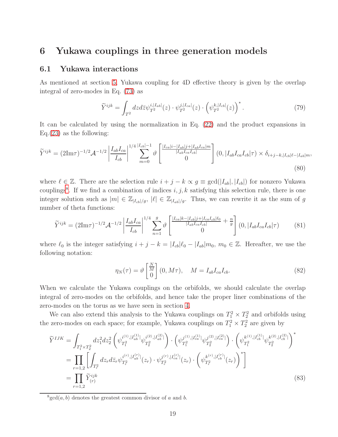### <span id="page-19-0"></span>6 Yukawa couplings in three generation models

### 6.1 Yukawa interactions

As mentioned at section [5,](#page-13-0) Yukawa coupling for 4D effective theory is given by the overlap integral of zero-modes in Eq. [\(73\)](#page-14-0) as

<span id="page-19-3"></span>
$$
\widetilde{Y}^{ijk} = \int_{T^2} dz d\bar{z} \psi_{T^2}^{i,|I_{ab}|}(z) \cdot \psi_{T^2}^{j,|I_{ca}|}(z) \cdot \left(\psi_{T^2}^{k,|I_{cb}|}(z)\right)^*.
$$
\n(79)

It can be calculated by using the normalization in Eq. [\(22\)](#page-5-1) and the product expansions in Eq. $(23)$  as the following:

$$
\widetilde{Y}^{ijk} = (2\text{Im}\tau)^{-1/2} \mathcal{A}^{-1/2} \left| \frac{I_{ab} I_{ca}}{I_{cb}} \right|^{1/4} \sum_{m=0}^{|I_{cb}|-1} \vartheta \left[ \frac{|I_{ca}|i - |I_{ab}|j + |I_{ab}I_{ca}|m}{|I_{ab}I_{ca}I_{cb}|} \right] (0, |I_{ab}I_{ca}I_{cb}|\tau) \times \delta_{i+j-k, |I_{cb}| \ell - |I_{ab}|m},\tag{80}
$$

where  $\ell \in \mathbb{Z}$ . There are the selection rule  $i + j - k \propto g \equiv \gcd(|I_{ab}|, |I_{cb}|)$  for nonzero Yukawa couplings<sup>[8](#page-19-1)</sup>. If we find a combination of indices  $i, j, k$  satisfying this selection rule, there is one integer solution such as  $|m| \in \mathbb{Z}_{|I_{cb}|/g}$ ,  $|\ell| \in \mathbb{Z}_{|I_{ab}|/g}$ . Thus, we can rewrite it as the sum of g number of theta functions:

$$
\widetilde{Y}^{ijk} = (2\text{Im}\tau)^{-1/2} \mathcal{A}^{-1/2} \left| \frac{I_{ab} I_{ca}}{I_{cb}} \right|^{1/4} \sum_{n=1}^{g} \vartheta \left[ \frac{|I_{ca}|k - |I_{cb}|j + |I_{ca} I_{cb}| \ell_0}{|I_{ab} I_{ca} I_{cb}|} + \frac{n}{g} \right] (0, |I_{ab} I_{ca} I_{cb} | \tau) \tag{81}
$$

where  $\ell_0$  is the integer satisfying  $i + j - k = |I_{cb}|\ell_0 - |I_{ab}|m_0$ ,  $m_0 \in \mathbb{Z}$ . Hereafter, we use the following notation:

<span id="page-19-4"></span><span id="page-19-2"></span>
$$
\eta_N(\tau) = \vartheta \begin{bmatrix} \frac{N}{M} \\ 0 \end{bmatrix} (0, M\tau), \quad M = I_{ab} I_{ca} I_{cb}.
$$
 (82)

When we calculate the Yukawa couplings on the orbifolds, we should calculate the overlap integral of zero-modes on the orbifolds, and hence take the proper liner combinations of the zero-modes on the torus as we have seen in section [4.](#page-9-0)

We can also extend this analysis to the Yukawa couplings on  $T_1^2 \times T_2^2$  and orbifolds using the zero-modes on each space; for example, Yukawa couplings on  $T_1^2 \times T_2^2$  are given by

$$
\begin{split} \widetilde{Y}^{IJK} &= \int_{T_1^2 \times T_2^2} dz_1^2 dz_2^2 \left( \psi_{T_1^2}^{i^{(1)},|I_{ab}^{(1)}|} \psi_{T_2^2}^{i^{(2)},|I_{ab}^{(2)}|} \right) \cdot \left( \psi_{T_1^2}^{j^{(1)},|I_{ca}^{(1)}|} \psi_{T_2^2}^{j^{(2)},|I_{ca}^{(2)}|} \right) \cdot \left( \psi_{T_1^2}^{k^{(1)},|I_{cb}^{(1)}|} \psi_{T_2^2}^{k^{(2)},|I_{cb}^{(2)}|} \right)^* \\ &= \prod_{r=1,2} \left[ \int_{T_r^2} dz_r d\bar{z}_r \psi_{T_r^2}^{i^{(r)},|I_{ab}^{(r)}|}(z_r) \cdot \psi_{T_r^2}^{j^{(r)},|I_{ca}^{(r)}|}(z_r) \cdot \left( \psi_{T_r^2}^{k^{(r)},|I_{cb}^{(r)}|}(z_r) \right)^* \right] \\ &= \prod_{r=1,2} \widetilde{Y}_{(r)}^{ijk} \end{split} \tag{83}
$$

<span id="page-19-1"></span> $\frac{8}{3}$ gcd $(a, b)$  denotes the greatest common divisor of a and b.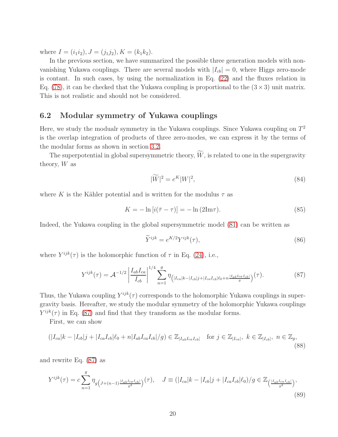where  $I = (i_1 i_2), J = (j_1 j_2), K = (k_1 k_2).$ 

In the previous section, we have summarized the possible three generation models with nonvanishing Yukawa couplings. There are several models with  $|I_{cb}| = 0$ , where Higgs zero-mode is contant. In such cases, by using the normalization in Eq. [\(22\)](#page-5-1) and the fluxes relation in Eq. [\(78\)](#page-15-1), it can be checked that the Yukawa coupling is proportional to the  $(3 \times 3)$  unit matrix. This is not realistic and should not be considered.

### 6.2 Modular symmetry of Yukawa couplings

Here, we study the modualr symmetry in the Yukawa couplings. Since Yukawa coupling on  $T^2$ is the overlap integration of products of three zero-modes, we can express it by the terms of the modular forms as shown in section [3.2.](#page-8-3)

The superpotential in global supersymmetric theory,  $\widetilde{W}$ , is related to one in the supergravity theory,  $W$  as

$$
|\widetilde{W}|^2 = e^K|W|^2,\tag{84}
$$

where K is the Kähler potential and is written for the modulus  $\tau$  as

$$
K = -\ln[i(\bar{\tau} - \tau)] = -\ln(2\mathrm{Im}\tau). \tag{85}
$$

Indeed, the Yukawa coupling in the global supersymmetric model [\(81\)](#page-19-2) can be written as

<span id="page-20-0"></span>
$$
\widetilde{Y}^{ijk} = e^{K/2} Y^{ijk}(\tau),\tag{86}
$$

where  $Y^{ijk}(\tau)$  is the holomorphic function of  $\tau$  in Eq. [\(24\)](#page-5-3), i.e.,

$$
Y^{ijk}(\tau) = \mathcal{A}^{-1/2} \left| \frac{I_{ab} I_{ca}}{I_{cb}} \right|^{1/4} \sum_{n=1}^{g} \eta_{\left(|I_{ca}|k - |I_{cb}|j + |I_{ca}I_{cb}| \ell_0 + n\frac{|I_{ab}I_{ca}I_{cb}|}{g}\right)}(\tau). \tag{87}
$$

Thus, the Yukawa coupling  $Y^{ijk}(\tau)$  corresponds to the holomorphic Yukawa couplings in supergravity basis. Hereafter, we study the modular symmetry of the holomorphic Yukawa couplings  $Y^{ijk}(\tau)$  in Eq. [\(87\)](#page-20-0) and find that they transform as the modular forms.

First, we can show

$$
(|I_{ca}|k - |I_{cb}|j + |I_{ca}I_{cb}|\ell_0 + n|I_{ab}I_{ca}I_{cb}|/g) \in \mathbb{Z}_{|I_{ab}I_{ca}I_{cb}|} \text{ for } j \in \mathbb{Z}_{|I_{ca}|}, \ k \in \mathbb{Z}_{|I_{cb}|}, \ n \in \mathbb{Z}_g,
$$
\n(88)

and rewrite Eq. [\(87\)](#page-20-0) as

$$
Y^{ijk}(\tau) = c \sum_{n=1}^{g} \eta_g \left( J_{+(n-1)} \frac{|I_{ab} I_{ca} I_{cb}|}{g^2} \right)(\tau), \quad J \equiv (|I_{ca}|k - |I_{cb}|j + |I_{ca} I_{cb}|\ell_0)/g \in \mathbb{Z}_{\left(\frac{|I_{ab} I_{ca} I_{cb}|}{g^2}\right)},
$$
\n(89)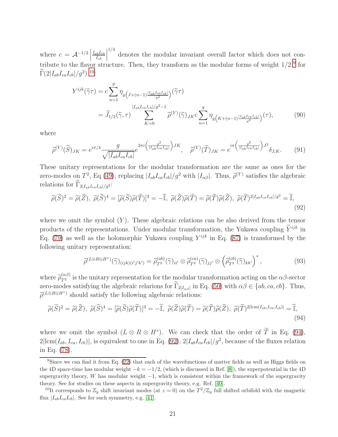where  $c = \mathcal{A}^{-1/2}$  $I_{ab}I_{ca}$  $I_{cb}$  <sup>1/4</sup> denotes the modular invariant overall factor which does not contribute to the flavor structure. Then, they transform as the modular forms of weight  $1/2<sup>9</sup>$  $1/2<sup>9</sup>$  $1/2<sup>9</sup>$  for  $\Gamma(2|I_{ab}I_{ca}I_{cb}|/g^2)^{-10}$  $\Gamma(2|I_{ab}I_{ca}I_{cb}|/g^2)^{-10}$  $\Gamma(2|I_{ab}I_{ca}I_{cb}|/g^2)^{-10}$ :

$$
Y^{ijk}(\tilde{\gamma}\tau) = c \sum_{n=1}^{g} \eta_g \left( J_{+(n-1)\frac{|I_{ab}I_{ca}I_{cb}|}{g^2}} \right) (\tilde{\gamma}\tau)
$$
  
=  $\widetilde{J}_{1/2}(\tilde{\gamma}, \tau) \sum_{K=0}^{|I_{ab}I_{ca}I_{cb}|/g^2-1} \widetilde{\rho}^{(Y)}(\tilde{\gamma})_{JK} c \sum_{n=1}^{g} \eta_g \left( K_{+(n-1)\frac{|I_{ab}I_{ca}I_{cb}|}{g^2}} \right) (\tau),$  (90)

where

$$
\widetilde{\rho}^{(Y)}(\widetilde{S})_{JK} = e^{i\pi/4} \frac{g}{\sqrt{|I_{ab}I_{ca}I_{cb}|}} e^{2\pi i \left(\frac{g^2}{|I_{ab}I_{ca}I_{cb}|}\right)JK}, \quad \widetilde{\rho}^{(Y)}(\widetilde{T})_{JK} = e^{i\pi \left(\frac{g^2}{|I_{ab}I_{ca}I_{cb}|}\right)J^2} \delta_{J,K}.
$$
(91)

These unitary representations for the modular transformation are the same as ones for the zero-modes on  $T^2$ , Eq [\(49\)](#page-8-4), replacing  $|I_{ab}I_{ca}I_{cb}|/g^2$  with  $|I_{\alpha\beta}|$ . Thus,  $\tilde{\rho}^{(Y)}$  satisfies the algebraic relations for  $\Gamma_{2|I_{ab}I_{ca}I_{cb}|/g^2}$ :

$$
\widetilde{\rho}(\widetilde{S})^2 = \widetilde{\rho}(\widetilde{Z}), \ \widetilde{\rho}(\widetilde{S})^4 = [\widetilde{\rho}(\widetilde{S})\widetilde{\rho}(\widetilde{T})]^3 = -\widetilde{\mathbb{I}}, \ \widetilde{\rho}(\widetilde{Z})\widetilde{\rho}(\widetilde{T}) = \widetilde{\rho}(\widetilde{T})\widetilde{\rho}(\widetilde{Z}), \ \widetilde{\rho}(\widetilde{T})^{2|I_{ab}I_{ca}I_{cb}|/g^2} = \widetilde{\mathbb{I}}, \tag{92}
$$

where we omit the symbol  $(Y)$ . These algebraic relations can be also derived from the tensor products of the representations. Under modular transformation, the Yukawa coupling  $\widetilde{Y}^{ijk}$  in Eq. [\(79\)](#page-19-3) as well as the holomorphic Yukawa coupling  $Y^{ijk}$  in Eq. [\(87\)](#page-20-0) is transformed by the following unitary representation:

<span id="page-21-3"></span><span id="page-21-2"></span>
$$
\widetilde{\rho}^{(L\otimes R\otimes H^*)}(\widetilde{\gamma})_{(ijk)(i'j'k')} = \widetilde{\rho}_{T^2}^{(ab)}(\widetilde{\gamma})_{ii'} \otimes \widetilde{\rho}_{T^2}^{(ca)}(\widetilde{\gamma})_{jj'} \otimes \left(\widetilde{\rho}_{T^2}^{(cb)}(\widetilde{\gamma})_{kk'}\right)^*,
$$
\n(93)

where  $\tilde{\rho}_{T^2}^{(\alpha\beta)}$  is the unitary representation for the modular transformation acting on the  $\alpha\beta$ -sector zero-modes satisfying the algebraic relarions for  $\Gamma_{2|I_{\alpha\beta}|}$  in Eq. [\(50\)](#page-8-2) with  $\alpha\beta \in \{ab, ca, cb\}$ . Thus,  $\widetilde{\rho}^{(L\otimes R\otimes H^*)}$  should satisfy the following algebraic relations:

$$
\widetilde{\rho}(\widetilde{S})^2 = \widetilde{\rho}(\widetilde{Z}), \ \widetilde{\rho}(\widetilde{S})^4 = [\widetilde{\rho}(\widetilde{S})\widetilde{\rho}(\widetilde{T})]^3 = -\widetilde{\mathbb{I}}, \ \widetilde{\rho}(\widetilde{Z})\widetilde{\rho}(\widetilde{T}) = \widetilde{\rho}(\widetilde{T})\widetilde{\rho}(\widetilde{Z}), \ \widetilde{\rho}(\widetilde{T})^{2|\text{lcm}(I_{ab},I_{ca},I_{cb})|} = \widetilde{\mathbb{I}}, \tag{94}
$$

where we omit the symbol  $(L \otimes R \otimes H^*)$ . We can check that the order of T in Eq. [\(94\)](#page-21-2),  $2|\text{lcm}(I_{ab}, I_{ca}, I_{cb})|$ , is equivalent to one in Eq. [\(92\)](#page-21-3),  $2|I_{ab}I_{ca}I_{cb}|/g^2$ , because of the fluxes relation in Eq. [\(78\)](#page-15-1).

<span id="page-21-0"></span><sup>&</sup>lt;sup>9</sup>Since we can find it from Eq. [\(22\)](#page-5-1) that each of the wavefunctions of matter fields as well as Higgs fields on the 4D space-time has modular weight  $-k = -1/2$ , (which is discussed in Ref. [\[8\]](#page-28-9)), the superpotential in the 4D supergravity theory, W has modular weight  $-1$ , which is consistent within the framework of the supergravity theory. See for studies on these aspects in supergravity theory, e.g. Ref. [\[40\]](#page-30-5).

<span id="page-21-1"></span><sup>&</sup>lt;sup>10</sup>It corresponds to  $\mathbb{Z}_g$  shift invariant modes (at  $z = 0$ ) on the  $T^2/\mathbb{Z}_g$  full shifted orbifold with the magnetic flux  $|I_{ab}I_{ca}I_{cb}|$ . See for such symmetry, e.g. [\[41\]](#page-30-6).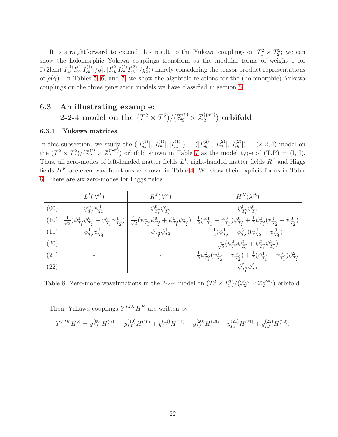It is straightforward to extend this result to the Yukawa couplings on  $T_1^2 \times T_2^2$ ; we can show the holomorphic Yukawa couplings transform as the modular forms of weight 1 for  $\Gamma(2\text{lcm})|I_{ab}^{(1)}I_{ca}^{(1)}I_{cb}^{(1)}|/g_1^2, |I_{ab}^{(2)}I_{ca}^{(2)}I_{cb}^{(2)}|/g_2^2)$  merely considering the tensor product representations of  $\tilde{\rho}(\tilde{\gamma})$ . In Tables [5,](#page-16-0) [6,](#page-17-0) and [7,](#page-17-1) we show the algebraic relations for the (holomorphic) Yukawa couplings on the three generation models we have classified in section [5.](#page-13-0)

### 6.3 An illustrating example: 2-2-4 model on the  $(T^2 \times T^2) / (\mathbb{Z}_2^{(\mathrm{t})} \times \mathbb{Z}_2^{(\mathrm{per})})$  $\binom{\text{(per)}}{2}$  orbifold

#### 6.3.1 Yukawa matrices

In this subsection, we study the  $(|I_{ab}^{(1)}|, |I_{ca}^{(1)}|, |I_{cb}^{(1)}|) = (|I_{ab}^{(2)}|, |I_{ca}^{(2)}|, |I_{cb}^{(2)}|) = (2, 2, 4)$  model on the  $(T_1^2 \times T_2^2) / (\mathbb{Z}_2^{(t)} \times \mathbb{Z}_2^{(\text{per})})$  $_2^{(per)}$ ) orbifold shown in Table [7](#page-17-1) as the model type of  $(T,P) = (I, I)$ . Thus, all zero-modes of left-handed matter fields  $L<sup>I</sup>$ , right-handed matter fields  $R<sup>J</sup>$  and Higgs fields  $H<sup>K</sup>$  are even wavefunctions as shown in Table [4.](#page-15-0) We show their explicit forms in Table [8.](#page-22-0) There are six zero-modes for Higgs fields.

(00)  
\n
$$
\frac{L^I(\lambda^{ab})}{\psi_{T_1^2}^0 \psi_{T_2^2}^0}
$$
\n
$$
\frac{\psi_{T_1^2}^0 \psi_{T_2^2}^0}{\psi_{T_1^2}^1 \psi_{T_2^2}^0} \frac{\psi_{T_1^2}^0 \psi_{T_2^2}^0}{\psi_{T_1^2}^1 \psi_{T_2^2}^0}
$$
\n
$$
\frac{1}{\sqrt{2}} (\psi_{T_1^2}^1 \psi_{T_2^2}^0 + \psi_{T_1^2}^0 \psi_{T_2^2}^1)
$$
\n(11)  
\n
$$
\psi_{T_1^2}^1 \psi_{T_2^2}^1
$$
\n(20)  
\n
$$
-\frac{\psi_{T_1^2}^1 \psi_{T_2^2}^1}{\psi_{T_1^2}^1 \psi_{T_2^2}^1}
$$
\n
$$
-\frac{\psi_{T_1^2}^1 \psi_{T_2^2}^1}{\psi_{T_1^2}^1 \psi_{T_2^2}^1}
$$
\n(21)  
\n(22)  
\n
$$
-\frac{\psi_{T_1^2}^2 \psi_{T_2^2}^1}{\psi_{T_1^2}^1 \psi_{T_2^2}^1} - \frac{\psi_{T_1^2}^2 \psi_{T_1^2}^1}{\psi_{T_1^2}^1 \psi_{T_2^2}^1}
$$
\n(22)  
\n
$$
-\frac{\psi_{T_1^2}^2 \psi_{T_2^2}^0 + \psi_{T_1^2}^0 \psi_{T_2^2}^2}{\psi_{T_1^2}^1 \psi_{T_2^2}^1 \psi_{T_2^2}^1} + \frac{\psi_{T_1^2}^3 \psi_{T_2^2}^1}{\psi_{T_1^2}^2 \psi_{T_2^2}^2}
$$
\n(23)  
\n
$$
-\frac{\psi_{T_1^2}^2 \psi_{T_2^2}^0}{\psi_{T_1^2}^2 \psi_{T_2^2}^2}
$$

<span id="page-22-0"></span>Table 8: Zero-mode wavefunctions in the 2-2-4 model on  $(T_1^2 \times T_2^2)/(\mathbb{Z}_2^{(t)} \times \mathbb{Z}_2^{(\text{per})})$  $_2^{\rm (per)}$ ) orbifold.

Then, Yukawa couplings  $Y^{IJK}H^K$  are written by

$$
Y^{IJK}H^K = y_{IJ}^{(00)}H^{(00)} + y_{IJ}^{(10)}H^{(10)} + y_{IJ}^{(11)}H^{(11)} + y_{IJ}^{(20)}H^{(20)} + y_{IJ}^{(21)}H^{(21)} + y_{IJ}^{(22)}H^{(22)},
$$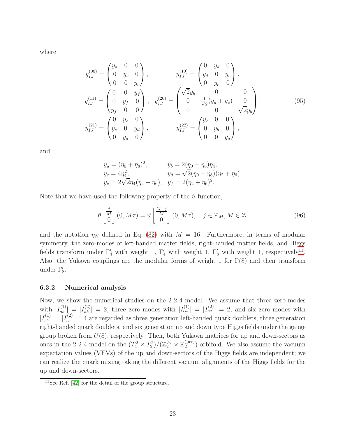where

$$
y_{IJ}^{(00)} = \begin{pmatrix} y_a & 0 & 0 \\ 0 & y_b & 0 \\ 0 & 0 & y_c \end{pmatrix}, \qquad y_{IJ}^{(10)} = \begin{pmatrix} 0 & y_d & 0 \\ y_d & 0 & y_e \\ 0 & y_e & 0 \end{pmatrix},
$$
  
\n
$$
y_{IJ}^{(11)} = \begin{pmatrix} 0 & 0 & y_f \\ 0 & y_f & 0 \\ y_f & 0 & 0 \end{pmatrix}, \qquad y_{IJ}^{(20)} = \begin{pmatrix} \sqrt{2}y_b & 0 & 0 \\ 0 & \frac{1}{\sqrt{2}}(y_a + y_c) & 0 \\ 0 & 0 & \sqrt{2}y_b \end{pmatrix},
$$
  
\n
$$
y_{IJ}^{(21)} = \begin{pmatrix} 0 & y_e & 0 \\ y_e & 0 & y_d \\ 0 & y_d & 0 \end{pmatrix}, \qquad y_{IJ}^{(22)} = \begin{pmatrix} y_c & 0 & 0 \\ 0 & y_b & 0 \\ 0 & 0 & y_a \end{pmatrix},
$$
  
\n(95)

and

$$
y_a = (\eta_0 + \eta_8)^2
$$
,  $y_b = 2(\eta_0 + \eta_8)\eta_4$ ,  
\n $y_c = 4\eta_4^2$ ,  $y_d = \sqrt{2}(\eta_0 + \eta_8)(\eta_2 + \eta_6)$ ,  
\n $y_e = 2\sqrt{2}\eta_4(\eta_2 + \eta_6)$ ,  $y_f = 2(\eta_2 + \eta_6)^2$ .

Note that we have used the following property of the  $\vartheta$  function,

$$
\vartheta\begin{bmatrix}\frac{j}{M}\\0\end{bmatrix}(0,M\tau) = \vartheta\begin{bmatrix}\frac{M-j}{M}\\0\end{bmatrix}(0,M\tau), \quad j \in \mathbb{Z}_M, M \in \mathbb{Z},\tag{96}
$$

and the notation  $\eta_N$  defined in Eq. [\(82\)](#page-19-4) with  $M = 16$ . Furthermore, in terms of modular symmetry, the zero-modes of left-handed matter fields, right-handed matter fields, and Higgs fields transform under  $\Gamma'_4$  with weight 1,  $\Gamma'_4$  with weight 1,  $\Gamma'_8$  with weight 1, respectively<sup>[11](#page-23-0)</sup>. Also, the Yukawa couplings are the modular forms of weight 1 for  $\Gamma(8)$  and then transform under  $\Gamma'_8$ .

#### 6.3.2 Numerical analysis

Now, we show the numerical studies on the 2-2-4 model. We assume that three zero-modes with  $|I_{ab}^{(1)}| = |I_{ab}^{(2)}| = 2$ , three zero-modes with  $|I_{ca}^{(1)}| = |I_{ca}^{(2)}| = 2$ , and six zero-modes with  $|I_{cb}^{(1)}| = |I_{cb}^{(2)}| = 4$  are regarded as three generation left-handed quark doublets, three generation right-handed quark doublets, and six generation up and down type Higgs fields under the gauge group broken from  $U(8)$ , respectively. Then, both Yukawa matrices for up and down-sectors as ones in the 2-2-4 model on the  $(T_1^2 \times T_2^2)/(\mathbb{Z}_2^{(t)} \times \mathbb{Z}_2^{(\text{per})})$  $_2^{\rm (per)}$ ) orbifold. We also assume the vacuum expectation values (VEVs) of the up and down-sectors of the Higgs fields are independent; we can realize the quark mixing taking the different vacuum alignments of the Higgs fields for the up and down-sectors.

<span id="page-23-0"></span><sup>&</sup>lt;sup>11</sup>See Ref.  $[42]$  for the detail of the group structure.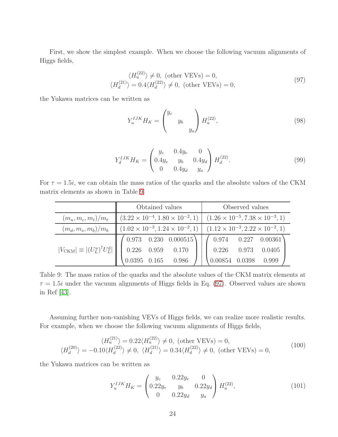First, we show the simplest example. When we choose the following vacuum alignments of Higgs fields,

$$
\langle H_u^{(22)} \rangle \neq 0, \text{ (other VEVs)} = 0,\langle H_d^{(21)} \rangle = 0.4 \langle H_d^{(22)} \rangle \neq 0, \text{ (other VEVs)} = 0,
$$
\n(97)

the Yukawa matrices can be written as

<span id="page-24-1"></span>
$$
Y_u^{IJK} H_K = \begin{pmatrix} y_c & & \\ & y_b & \\ & & y_a \end{pmatrix} H_u^{(22)},
$$
\n(98)

$$
Y_d^{IJK}H_K = \begin{pmatrix} y_c & 0.4y_e & 0\\ 0.4y_e & y_b & 0.4y_d\\ 0 & 0.4y_d & y_a \end{pmatrix} H_d^{(22)}.
$$
 (99)

For  $\tau = 1.5i$ , we can obtain the mass ratios of the quarks and the absolute values of the CKM matrix elements as shown in Table [9.](#page-24-0)

|                                                                                 | Obtained values                                                                                 | Observed values             |  |  |  |
|---------------------------------------------------------------------------------|-------------------------------------------------------------------------------------------------|-----------------------------|--|--|--|
| $(m_u, m_c, m_t)/m_t$                                                           | $(3.22 \times 10^{-4}, 1.80 \times 10^{-2}, 1)$ $(1.26 \times 10^{-5}, 7.38 \times 10^{-3}, 1)$ |                             |  |  |  |
| $(m_d,m_s,m_b)/m_b$                                                             | $(1.02 \times 10^{-3}, 1.24 \times 10^{-2}, 1)$ $(1.12 \times 10^{-3}, 2.22 \times 10^{-2}, 1)$ |                             |  |  |  |
|                                                                                 | $\begin{pmatrix} 0.973 & 0.230 & 0.000515 \end{pmatrix}$                                        | $( 0.974 \ 0.227 \ 0.00361$ |  |  |  |
| $ V_{\text{CKM}}  \equiv  (U_L^u)^{\dagger} U_L^d  \parallel 0.226 \quad 0.959$ | 0.170                                                                                           | 0.973<br>0.226<br>0.0405    |  |  |  |
|                                                                                 | 0.986<br>0.165                                                                                  | 0.999<br>$0.00854$ 0.0398   |  |  |  |

<span id="page-24-0"></span>Table 9: The mass ratios of the quarks and the absolute values of the CKM matrix elements at  $\tau = 1.5i$  under the vacuum alignments of Higgs fields in Eq. [\(97\)](#page-24-1). Observed values are shown in Ref [\[43\]](#page-30-8).

Assuming further non-vanishing VEVs of Higgs fields, we can realize more realistic results. For example, when we choose the following vacuum alignments of Higgs fields,

$$
\langle H_u^{(21)} \rangle = 0.22 \langle H_u^{(22)} \rangle \neq 0, \text{ (other VEVs)} = 0,
$$
  

$$
\langle H_d^{(20)} \rangle = -0.10 \langle H_d^{(22)} \rangle \neq 0, \langle H_d^{(21)} \rangle = 0.34 \langle H_d^{(22)} \rangle \neq 0, \text{ (other VEVs)} = 0,
$$
 (100)

the Yukawa matrices can be written as

<span id="page-24-2"></span>
$$
Y_u^{IJK} H_K = \begin{pmatrix} y_c & 0.22y_e & 0\\ 0.22y_e & y_b & 0.22y_d\\ 0 & 0.22y_d & y_a \end{pmatrix} H_u^{(22)},
$$
(101)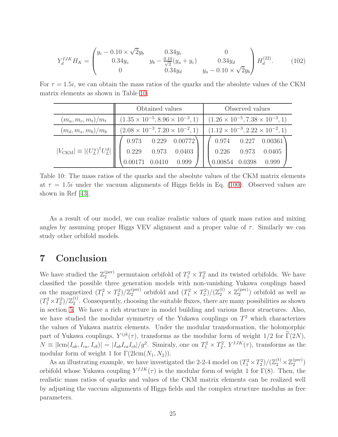$$
Y_d^{IJK}H_K = \begin{pmatrix} y_c - 0.10 \times \sqrt{2}y_b & 0.34y_e & 0\\ 0.34y_e & y_b - \frac{0.10}{\sqrt{2}}(y_a + y_c) & 0.34y_d\\ 0 & 0.34y_d & y_a - 0.10 \times \sqrt{2}y_b \end{pmatrix} H_d^{(22)}.
$$
 (102)

For  $\tau = 1.5i$ , we can obtain the mass ratios of the quarks and the absolute values of the CKM matrix elements as shown in Table [10.](#page-25-1)

|                                                     | Obtained values                                 | Observed values                                 |
|-----------------------------------------------------|-------------------------------------------------|-------------------------------------------------|
| $(m_u, m_c, m_t)/m_t$                               | $(1.35 \times 10^{-5}, 8.96 \times 10^{-3}, 1)$ | $(1.26 \times 10^{-5}, 7.38 \times 10^{-3}, 1)$ |
| $(m_d,m_s,m_b)/m_b$                                 | $(2.08 \times 10^{-3}, 7.20 \times 10^{-2}, 1)$ | $(1.12 \times 10^{-3}, 2.22 \times 10^{-2}, 1)$ |
|                                                     | $0.973$ $0.229$ $0.00772$                       | 0.974<br>$0.227$ $0.00361$                      |
| $ V_{\text{CKM}}  \equiv  (U_L^u)^{\dagger} U_L^d $ | 0.229<br>0.973<br>0.0403                        | 0.226<br>0.973<br>0.0405                        |
|                                                     | 0.00171<br>0.999                                | 0.999<br>0.0398<br>0.00854                      |

<span id="page-25-1"></span>Table 10: The mass ratios of the quarks and the absolute values of the CKM matrix elements at  $\tau = 1.5i$  under the vacuum alignments of Higgs fields in Eq. [\(100\)](#page-24-2). Observed values are shown in Ref [\[43\]](#page-30-8).

As a result of our model, we can realize realistic values of quark mass ratios and mixing angles by assuming proper Higgs VEV alignment and a proper value of  $\tau$ . Similarly we can study other orbifold models.

## <span id="page-25-0"></span>7 Conclusion

We have studied the  $\mathbb{Z}_2^{(\text{per})}$  permutaion orbifold of  $T_1^2 \times T_2^2$  and its twisted orbifolds. We have classified the possible three generation models with non-vanishing Yukawa couplings based on the magnetized  $(T_1^2 \times T_2^2)/\mathbb{Z}_2^{\text{(per)}}$ (per) orbifold and  $(T_1^2 \times T_2^2)/(\mathbb{Z}_2^{(t)} \times \mathbb{Z}_2^{(per)}$  $2^{(per)}$ ) orbifold as well as  $(T_1^2 \times T_2^2)/\mathbb{Z}_2^{(t)}$  $2<sup>(t)</sup>$ . Consequently, choosing the suitable fluxes, there are many possibilities as shown in section [5.](#page-13-0) We have a rich structure in model building and various flavor structures. Also, we have studied the modular symmetry of the Yukawa couplings on  $T<sup>2</sup>$  which characterizes the values of Yukawa matrix elements. Under the modular transformation, the holomorphic part of Yukawa couplings,  $Y^{ijk}(\tau)$ , transforms as the modular form of weight 1/2 for  $\Gamma(2N)$ ,  $N \equiv |\text{lcm}(I_{ab}, I_{ca}, I_{cb})| = |I_{ab}I_{ca}I_{cb}|/g^2$ . Simiraly, one on  $T_1^2 \times T_2^2$ ,  $Y^{IJK}(\tau)$ , transforms as the modular form of weight 1 for  $\Gamma(2\text{lcm}(N_1, N_2)).$ 

As an illustrating example, we have investigated the 2-2-4 model on  $(T_1^2 \times T_2^2)/(\mathbb{Z}_2^{(t)} \times \mathbb{Z}_2^{(\text{per})})$  $\binom{\text{per}}{2}$ orbifold whose Yukawa coupling  $Y^{IJK}(\tau)$  is the modular form of weight 1 for  $\Gamma(8)$ . Then, the realistic mass ratios of quarks and values of the CKM matrix elements can be realized well by adjusting the vaccum alignments of Higgs fields and the complex structure modulus as free parameters.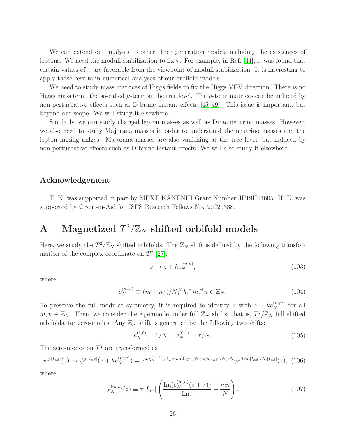We can extend our analysis to other three generation models including the existences of leptons. We need the moduli stabilization to fix  $\tau$ . For example, in Ref. [\[44\]](#page-30-9), it was found that certain values of  $\tau$  are favorable from the viewpoint of moduli stabilization. It is interesting to apply those results in numerical analyses of our orbifold models.

We need to study mass matrices of Higgs fields to fix the Higgs VEV direction. There is no Higgs mass term, the so-called  $\mu$ -term at the tree level. The  $\mu$ -term matrices can be induced by non-perturbative effects such as D-brane instant effects [\[45–](#page-30-10)[49\]](#page-30-11). This issue is important, but beyond our scope. We will study it elsewhere.

Similarly, we can study charged lepton masses as well as Dirac neutrino masses. However, we also need to study Majorana masses in order to understand the neutrino masses and the lepton mixing anlges. Majorana masses are also vanishing at the tree level, but induced by non-perturbative effects such as D-brane instant effects. We will also study it elsewhere.

### Acknowledgement

T. K. was supported in part by MEXT KAKENHI Grant Number JP19H04605. H. U. was supported by Grant-in-Aid for JSPS Research Fellows No. 20J20388.

# A Magnetized  $T^2/\mathbb{Z}_N$  shifted orbifold models

Here, we study the  $T^2/\mathbb{Z}_N$  shifted orbifolds. The  $\mathbb{Z}_N$  shift is defined by the following transformation of the complex coordinate on  $T^2$  [\[27\]](#page-29-5):

$$
z \to z + k e_N^{(m,n)}, \tag{103}
$$

where

$$
e_N^{(m,n)} \equiv (m + n\tau)/N; \forall k, \exists m, \exists n \in \mathbb{Z}_N. \tag{104}
$$

To preserve the full modular symmetry, it is required to identify z with  $z + ke_N^{(m,n)}$  for all  $m, n \in \mathbb{Z}_N$ . Then, we consider the eigenmode under full  $\mathbb{Z}_N$  shifts, that is,  $T^2/\mathbb{Z}_N$  full shifted orbifolds, for zero-modes. Any  $\mathbb{Z}_N$  shift is generated by the following two shifts:

$$
e_N^{(1,0)} = 1/N, \quad e_N^{(0,1)} = \tau/N.
$$
\n(105)

The zero-modes on  $T^2$  are transformed as

$$
\psi^{j,|I_{\alpha\beta}|}(z) \to \psi^{j,|I_{\alpha\beta}|}(z + ke_N^{(m,n)}) = e^{ik\chi_N^{(m,n)}(z)}e^{i\pi km(2j - (N-k)n|I_{\alpha\beta}|/N)/N}\psi^{j+kn|I_{\alpha\beta}|/N,|I_{\alpha\beta}|}(z), \tag{106}
$$

where

$$
\chi_N^{(m,n)}(z) \equiv \pi |I_{\alpha\beta}| \left( \frac{\operatorname{Im}(\bar{e}_N^{(m,n)}(z+\tau))}{\operatorname{Im}\tau} + \frac{mn}{N} \right). \tag{107}
$$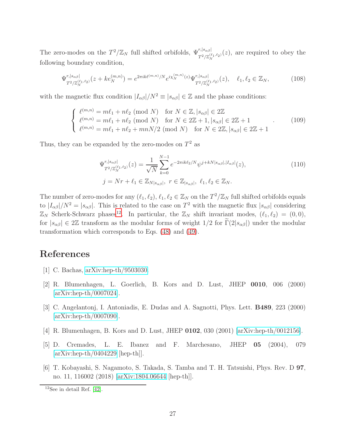The zero-modes on the  $T^2/\mathbb{Z}_N$  full shifted orbifolds,  $\Psi_{T^2/\mathbb{Z}_N^{(\ell_1,\ell_2)}}^{r,|s_{\alpha\beta}|}(z)$ , are required to obey the following boundary condition,

$$
\Psi_{T^2/\mathbb{Z}_N^{(\ell_1,\ell_2)}}^{r,|s_{\alpha\beta}|}(z+ke_N^{(m,n)}) = e^{2\pi i k\ell^{(m,n)}/N} e^{i\chi_N^{(m,n)}(z)} \Psi_{T^2/\mathbb{Z}_N^{(\ell_1,\ell_2)}}^{r,|s_{\alpha\beta}|}(z), \quad \ell_1, \ell_2 \in \mathbb{Z}_N,
$$
\n(108)

with the magnetic flux condition  $|I_{\alpha\beta}|/N^2 \equiv |s_{\alpha\beta}| \in \mathbb{Z}$  and the phase conditions:

$$
\begin{cases}\n\ell^{(m,n)} = m\ell_1 + n\ell_2 \pmod{N} & \text{for } N \in \mathbb{Z}, |s_{\alpha\beta}| \in 2\mathbb{Z} \\
\ell^{(m,n)} = m\ell_1 + n\ell_2 \pmod{N} & \text{for } N \in 2\mathbb{Z} + 1, |s_{\alpha\beta}| \in 2\mathbb{Z} + 1 \\
\ell^{(m,n)} = m\ell_1 + n\ell_2 + mnN/2 \pmod{N} & \text{for } N \in 2\mathbb{Z}, |s_{\alpha\beta}| \in 2\mathbb{Z} + 1\n\end{cases} (109)
$$

Thus, they can be expanded by the zero-modes on  $T^2$  as

$$
\Psi_{T^2/\mathbb{Z}_N^{(\ell_1,\ell_2)}}^{r,|s_{\alpha\beta}|}(z) = \frac{1}{\sqrt{N}} \sum_{k=0}^{N-1} e^{-2\pi i k \ell_2/N} \psi^{j+kN|s_{\alpha\beta}|,|I_{\alpha\beta}|}(z),
$$
\n
$$
j = Nr + \ell_1 \in \mathbb{Z}_{N|s_{\alpha\beta}|}, \ r \in \mathbb{Z}_{|s_{\alpha\beta}|}, \ \ell_1, \ell_2 \in \mathbb{Z}_N.
$$
\n
$$
(110)
$$

The number of zero-modes for any  $(\ell_1, \ell_2), \ell_1, \ell_2 \in \mathbb{Z}_N$  on the  $T^2/\mathbb{Z}_N$  full shifted orbifolds equals to  $|I_{\alpha\beta}|/N^2 = |s_{\alpha\beta}|$ . This is related to the case on  $T^2$  with the magnetic flux  $|s_{\alpha\beta}|$  considering  $\mathbb{Z}_N$  Scherk-Schwarz phases<sup>[12](#page-27-4)</sup>. In particular, the  $\mathbb{Z}_N$  shift invariant modes,  $(\ell_1, \ell_2) = (0, 0)$ , for  $|s_{\alpha\beta}| \in 2\mathbb{Z}$  transform as the modular forms of weight  $1/2$  for  $\tilde{\Gamma}(2|s_{\alpha\beta}|)$  under the modular transformation which corresponds to Eqs. [\(48\)](#page-8-5) and [\(49\)](#page-8-4).

## <span id="page-27-0"></span>References

- [1] C. Bachas, [arXiv:hep-th/9503030.](http://arxiv.org/abs/hep-th/9503030)
- [2] R. Blumenhagen, L. Goerlich, B. Kors and D. Lust, JHEP 0010, 006 (2000) [\[arXiv:hep-th/0007024\]](http://arxiv.org/abs/hep-th/0007024).
- <span id="page-27-1"></span>[3] C. Angelantonj, I. Antoniadis, E. Dudas and A. Sagnotti, Phys. Lett. B489, 223 (2000) [\[arXiv:hep-th/0007090\]](http://arxiv.org/abs/hep-th/0007090).
- <span id="page-27-2"></span>[4] R. Blumenhagen, B. Kors and D. Lust, JHEP 0102, 030 (2001) [\[arXiv:hep-th/0012156\]](http://arxiv.org/abs/hep-th/0012156).
- <span id="page-27-3"></span>[5] D. Cremades, L. E. Ibanez and F. Marchesano, JHEP 05 (2004), 079  $[\text{arXiv:hep-th}/0404229 \text{ [hep-th]}].$
- [6] T. Kobayashi, S. Nagamoto, S. Takada, S. Tamba and T. H. Tatsuishi, Phys. Rev. D 97, no. 11, 116002 (2018) [\[arXiv:1804.06644](http://arxiv.org/abs/1804.06644) [hep-th]].

<span id="page-27-4"></span> $12$ See in detail Ref. [\[42\]](#page-30-7).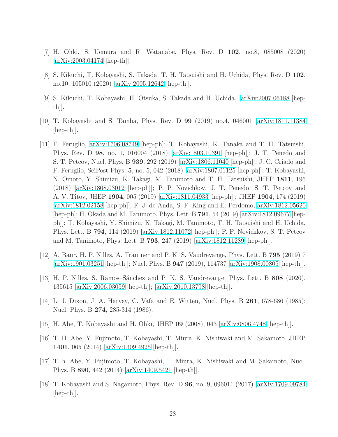- <span id="page-28-9"></span>[7] H. Ohki, S. Uemura and R. Watanabe, Phys. Rev. D 102, no.8, 085008 (2020) [\[arXiv:2003.04174](http://arxiv.org/abs/2003.04174) [hep-th]].
- <span id="page-28-0"></span>[8] S. Kikuchi, T. Kobayashi, S. Takada, T. H. Tatsuishi and H. Uchida, Phys. Rev. D 102, no.10, 105010 (2020) [\[arXiv:2005.12642](http://arxiv.org/abs/2005.12642) [hep-th]].
- <span id="page-28-5"></span>[9] S. Kikuchi, T. Kobayashi, H. Otsuka, S. Takada and H. Uchida, [\[arXiv:2007.06188](http://arxiv.org/abs/2007.06188) [hepth]].
- <span id="page-28-1"></span>[10] T. Kobayashi and S. Tamba, Phys. Rev. D 99 (2019) no.4, 046001 [\[arXiv:1811.11384](http://arxiv.org/abs/1811.11384) [hep-th]].
- [11] F. Feruglio, [arXiv:1706.08749](http://arxiv.org/abs/1706.08749) [hep-ph]; T. Kobayashi, K. Tanaka and T. H. Tatsuishi, Phys. Rev. D 98, no. 1, 016004 (2018) [\[arXiv:1803.10391](http://arxiv.org/abs/1803.10391) [hep-ph]]; J. T. Penedo and S. T. Petcov, Nucl. Phys. B 939, 292 (2019) [\[arXiv:1806.11040](http://arxiv.org/abs/1806.11040) [hep-ph]]; J. C. Criado and F. Feruglio, SciPost Phys. 5, no. 5, 042 (2018) [\[arXiv:1807.01125](http://arxiv.org/abs/1807.01125) [hep-ph]]; T. Kobayashi, N. Omoto, Y. Shimizu, K. Takagi, M. Tanimoto and T. H. Tatsuishi, JHEP 1811, 196 (2018) [\[arXiv:1808.03012](http://arxiv.org/abs/1808.03012) [hep-ph]]; P. P. Novichkov, J. T. Penedo, S. T. Petcov and A. V. Titov, JHEP 1904, 005 (2019) [\[arXiv:1811.04933](http://arxiv.org/abs/1811.04933) [hep-ph]]; JHEP 1904, 174 (2019) [\[arXiv:1812.02158](http://arxiv.org/abs/1812.02158) [hep-ph]]; F. J. de Anda, S. F. King and E. Perdomo, [arXiv:1812.05620](http://arxiv.org/abs/1812.05620) [hep-ph]; H. Okada and M. Tanimoto, Phys. Lett. B 791, 54 (2019) [\[arXiv:1812.09677](http://arxiv.org/abs/1812.09677) [hepph]]; T. Kobayashi, Y. Shimizu, K. Takagi, M. Tanimoto, T. H. Tatsuishi and H. Uchida, Phys. Lett. B 794, 114 (2019) [\[arXiv:1812.11072](http://arxiv.org/abs/1812.11072) [hep-ph]]; P. P. Novichkov, S. T. Petcov and M. Tanimoto, Phys. Lett. B 793, 247 (2019) [\[arXiv:1812.11289](http://arxiv.org/abs/1812.11289) [hep-ph]].
- <span id="page-28-7"></span><span id="page-28-6"></span>[12] A. Baur, H. P. Nilles, A. Trautner and P. K. S. Vaudrevange, Phys. Lett. B 795 (2019) 7 [\[arXiv:1901.03251](http://arxiv.org/abs/1901.03251) [hep-th]]; Nucl. Phys. B 947 (2019), 114737 [\[arXiv:1908.00805](http://arxiv.org/abs/1908.00805) [hep-th]].
- <span id="page-28-2"></span>[13] H. P. Nilles, S. Ramos–Sánchez and P. K. S. Vaudrevange, Phys. Lett. B 808 (2020), 135615 [\[arXiv:2006.03059](http://arxiv.org/abs/2006.03059) [hep-th]]; [\[arXiv:2010.13798](http://arxiv.org/abs/2010.13798) [hep-th]].
- <span id="page-28-3"></span>[14] L. J. Dixon, J. A. Harvey, C. Vafa and E. Witten, Nucl. Phys. B 261, 678-686 (1985); Nucl. Phys. B 274, 285-314 (1986).
- [15] H. Abe, T. Kobayashi and H. Ohki, JHEP 09 (2008), 043 [\[arXiv:0806.4748](http://arxiv.org/abs/0806.4748) [hep-th]].
- <span id="page-28-4"></span>[16] T. H. Abe, Y. Fujimoto, T. Kobayashi, T. Miura, K. Nishiwaki and M. Sakamoto, JHEP 1401, 065 (2014) [\[arXiv:1309.4925](http://arxiv.org/abs/1309.4925) [hep-th]].
- <span id="page-28-8"></span>[17] T. h. Abe, Y. Fujimoto, T. Kobayashi, T. Miura, K. Nishiwaki and M. Sakamoto, Nucl. Phys. B 890, 442 (2014) [\[arXiv:1409.5421](http://arxiv.org/abs/1409.5421) [hep-th]].
- [18] T. Kobayashi and S. Nagamoto, Phys. Rev. D 96, no. 9, 096011 (2017) [\[arXiv:1709.09784](http://arxiv.org/abs/1709.09784) [hep-th]].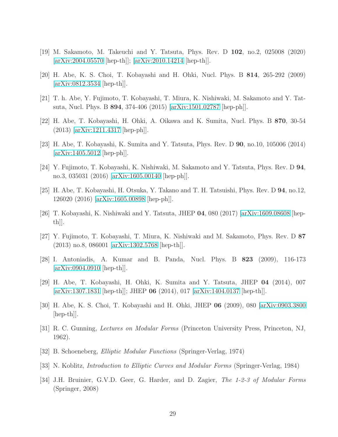- <span id="page-29-1"></span><span id="page-29-0"></span>[19] M. Sakamoto, M. Takeuchi and Y. Tatsuta, Phys. Rev. D 102, no.2, 025008 (2020) [\[arXiv:2004.05570](http://arxiv.org/abs/2004.05570) [hep-th]]; [\[arXiv:2010.14214](http://arxiv.org/abs/2010.14214) [hep-th]].
- <span id="page-29-2"></span>[20] H. Abe, K. S. Choi, T. Kobayashi and H. Ohki, Nucl. Phys. B 814, 265-292 (2009)  $[\text{arXiv:0812.3534 }]$  [hep-th]].
- <span id="page-29-3"></span>[21] T. h. Abe, Y. Fujimoto, T. Kobayashi, T. Miura, K. Nishiwaki, M. Sakamoto and Y. Tatsuta, Nucl. Phys. B 894, 374-406 (2015) [\[arXiv:1501.02787](http://arxiv.org/abs/1501.02787) [hep-ph]].
- <span id="page-29-12"></span>[22] H. Abe, T. Kobayashi, H. Ohki, A. Oikawa and K. Sumita, Nucl. Phys. B 870, 30-54 (2013) [\[arXiv:1211.4317](http://arxiv.org/abs/1211.4317) [hep-ph]].
- [23] H. Abe, T. Kobayashi, K. Sumita and Y. Tatsuta, Phys. Rev. D 90, no.10, 105006 (2014) [\[arXiv:1405.5012](http://arxiv.org/abs/1405.5012) [hep-ph]].
- [24] Y. Fujimoto, T. Kobayashi, K. Nishiwaki, M. Sakamoto and Y. Tatsuta, Phys. Rev. D 94, no.3, 035031 (2016) [\[arXiv:1605.00140](http://arxiv.org/abs/1605.00140) [hep-ph]].
- <span id="page-29-4"></span>[25] H. Abe, T. Kobayashi, H. Otsuka, Y. Takano and T. H. Tatsuishi, Phys. Rev. D 94, no.12, 126020 (2016) [\[arXiv:1605.00898](http://arxiv.org/abs/1605.00898) [hep-ph]].
- <span id="page-29-5"></span>[26] T. Kobayashi, K. Nishiwaki and Y. Tatsuta, JHEP 04, 080 (2017) [\[arXiv:1609.08608](http://arxiv.org/abs/1609.08608) [hep- $\|th$ .
- <span id="page-29-6"></span>[27] Y. Fujimoto, T. Kobayashi, T. Miura, K. Nishiwaki and M. Sakamoto, Phys. Rev. D 87 (2013) no.8, 086001 [\[arXiv:1302.5768](http://arxiv.org/abs/1302.5768) [hep-th]].
- <span id="page-29-7"></span>[28] I. Antoniadis, A. Kumar and B. Panda, Nucl. Phys. B 823 (2009), 116-173 [\[arXiv:0904.0910](http://arxiv.org/abs/0904.0910) [hep-th]].
- <span id="page-29-8"></span>[29] H. Abe, T. Kobayashi, H. Ohki, K. Sumita and Y. Tatsuta, JHEP 04 (2014), 007 [\[arXiv:1307.1831](http://arxiv.org/abs/1307.1831) [hep-th]]; JHEP 06 (2014), 017 [\[arXiv:1404.0137](http://arxiv.org/abs/1404.0137) [hep-th]].
- <span id="page-29-9"></span>[30] H. Abe, K. S. Choi, T. Kobayashi and H. Ohki, JHEP 06 (2009), 080 [\[arXiv:0903.3800](http://arxiv.org/abs/0903.3800) [hep-th]].
- [31] R. C. Gunning, Lectures on Modular Forms (Princeton University Press, Princeton, NJ, 1962).
- <span id="page-29-11"></span>[32] B. Schoeneberg, Elliptic Modular Functions (Springer-Verlag, 1974)
- <span id="page-29-10"></span>[33] N. Koblitz, Introduction to Elliptic Curves and Modular Forms (Springer-Verlag, 1984)
- [34] J.H. Bruinier, G.V.D. Geer, G. Harder, and D. Zagier, The 1-2-3 of Modular Forms (Springer, 2008)